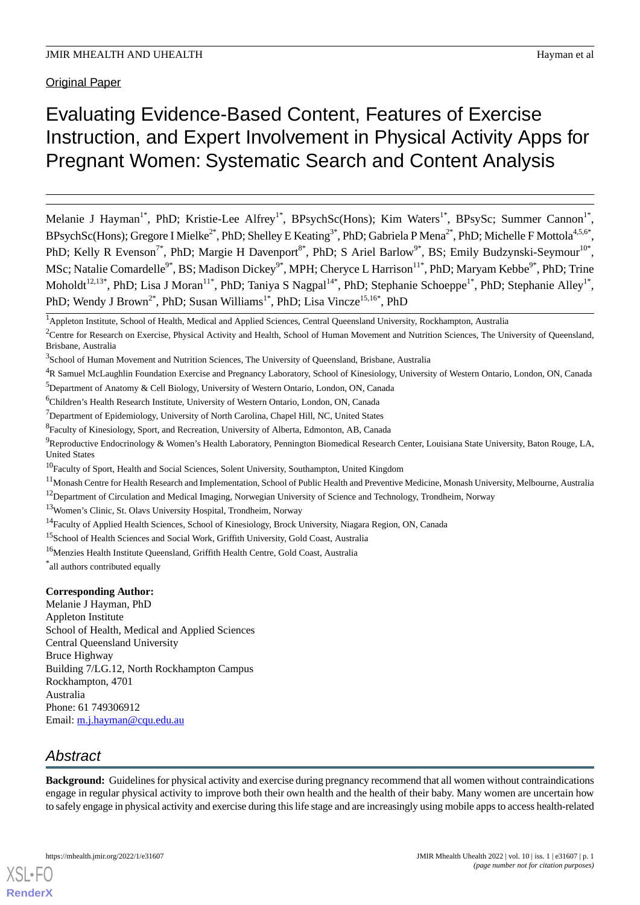Original Paper

# Evaluating Evidence-Based Content, Features of Exercise Instruction, and Expert Involvement in Physical Activity Apps for Pregnant Women: Systematic Search and Content Analysis

Melanie J Hayman<sup>1\*</sup>, PhD; Kristie-Lee Alfrey<sup>1\*</sup>, BPsychSc(Hons); Kim Waters<sup>1\*</sup>, BPsySc; Summer Cannon<sup>1\*</sup>, BPsychSc(Hons); Gregore I Mielke<sup>2\*</sup>, PhD; Shelley E Keating<sup>3\*</sup>, PhD; Gabriela P Mena<sup>2\*</sup>, PhD; Michelle F Mottola<sup>4,5,6\*</sup>, PhD; Kelly R Evenson<sup>7\*</sup>, PhD; Margie H Davenport<sup>8\*</sup>, PhD; S Ariel Barlow<sup>9\*</sup>, BS; Emily Budzynski-Seymour<sup>10\*</sup>, MSc; Natalie Comardelle<sup>9\*</sup>, BS; Madison Dickey<sup>9\*</sup>, MPH; Cheryce L Harrison<sup>11\*</sup>, PhD; Maryam Kebbe<sup>9\*</sup>, PhD; Trine Moholdt<sup>12,13\*</sup>, PhD; Lisa J Moran<sup>11\*</sup>, PhD; Taniya S Nagpal<sup>14\*</sup>, PhD; Stephanie Schoeppe<sup>1\*</sup>, PhD; Stephanie Alley<sup>1\*</sup>, PhD; Wendy J Brown<sup>2\*</sup>, PhD; Susan Williams<sup>1\*</sup>, PhD; Lisa Vincze<sup>15,16\*</sup>, PhD

- <sup>6</sup>Children's Health Research Institute, University of Western Ontario, London, ON, Canada
- $7$ Department of Epidemiology, University of North Carolina, Chapel Hill, NC, United States
- <sup>8</sup> Faculty of Kinesiology, Sport, and Recreation, University of Alberta, Edmonton, AB, Canada
- <sup>9</sup>Reproductive Endocrinology & Women's Health Laboratory, Pennington Biomedical Research Center, Louisiana State University, Baton Rouge, LA, United States
- <sup>10</sup>Faculty of Sport, Health and Social Sciences, Solent University, Southampton, United Kingdom
- <sup>11</sup> Monash Centre for Health Research and Implementation, School of Public Health and Preventive Medicine, Monash University, Melbourne, Australia

<sup>12</sup>Department of Circulation and Medical Imaging, Norwegian University of Science and Technology, Trondheim, Norway

- <sup>13</sup>Women's Clinic, St. Olavs University Hospital, Trondheim, Norway
- <sup>14</sup>Faculty of Applied Health Sciences, School of Kinesiology, Brock University, Niagara Region, ON, Canada
- <sup>15</sup>School of Health Sciences and Social Work, Griffith University, Gold Coast, Australia
- <sup>16</sup>Menzies Health Institute Queensland, Griffith Health Centre, Gold Coast, Australia

\* all authors contributed equally

#### **Corresponding Author:**

Melanie J Hayman, PhD Appleton Institute School of Health, Medical and Applied Sciences Central Queensland University Bruce Highway Building 7/LG.12, North Rockhampton Campus Rockhampton, 4701 Australia Phone: 61 749306912 Email: [m.j.hayman@cqu.edu.au](mailto:m.j.hayman@cqu.edu.au)

# *Abstract*

[XSL](http://www.w3.org/Style/XSL)•FO **[RenderX](http://www.renderx.com/)**

**Background:** Guidelines for physical activity and exercise during pregnancy recommend that all women without contraindications engage in regular physical activity to improve both their own health and the health of their baby. Many women are uncertain how to safely engage in physical activity and exercise during this life stage and are increasingly using mobile apps to access health-related

<sup>&</sup>lt;sup>1</sup>Appleton Institute, School of Health, Medical and Applied Sciences, Central Queensland University, Rockhampton, Australia

 $2$ Centre for Research on Exercise, Physical Activity and Health, School of Human Movement and Nutrition Sciences, The University of Queensland, Brisbane, Australia

<sup>&</sup>lt;sup>3</sup>School of Human Movement and Nutrition Sciences, The University of Queensland, Brisbane, Australia

<sup>4</sup>R Samuel McLaughlin Foundation Exercise and Pregnancy Laboratory, School of Kinesiology, University of Western Ontario, London, ON, Canada <sup>5</sup>Department of Anatomy & Cell Biology, University of Western Ontario, London, ON, Canada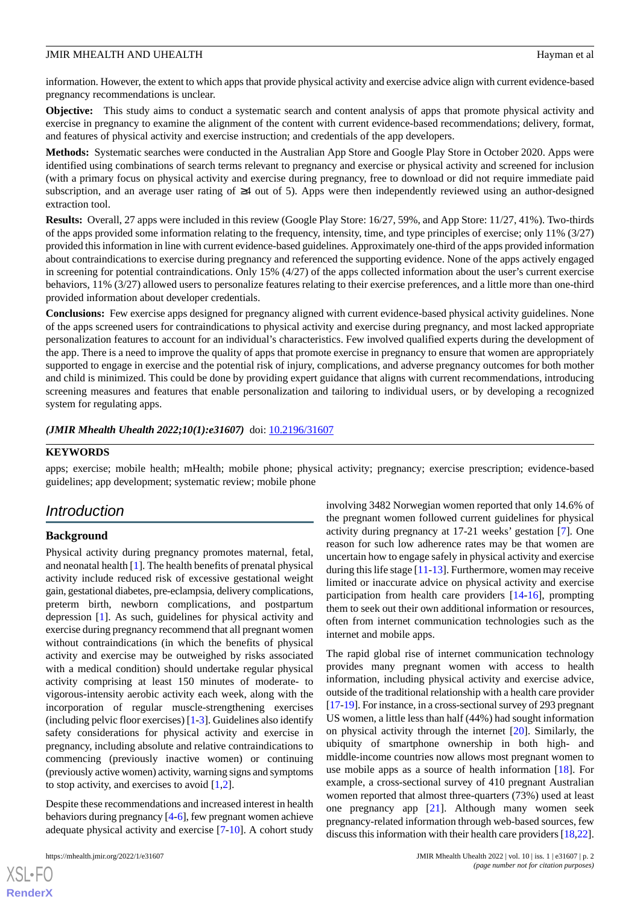information. However, the extent to which apps that provide physical activity and exercise advice align with current evidence-based pregnancy recommendations is unclear.

**Objective:** This study aims to conduct a systematic search and content analysis of apps that promote physical activity and exercise in pregnancy to examine the alignment of the content with current evidence-based recommendations; delivery, format, and features of physical activity and exercise instruction; and credentials of the app developers.

**Methods:** Systematic searches were conducted in the Australian App Store and Google Play Store in October 2020. Apps were identified using combinations of search terms relevant to pregnancy and exercise or physical activity and screened for inclusion (with a primary focus on physical activity and exercise during pregnancy, free to download or did not require immediate paid subscription, and an average user rating of ≥4 out of 5). Apps were then independently reviewed using an author-designed extraction tool.

**Results:** Overall, 27 apps were included in this review (Google Play Store: 16/27, 59%, and App Store: 11/27, 41%). Two-thirds of the apps provided some information relating to the frequency, intensity, time, and type principles of exercise; only 11% (3/27) provided this information in line with current evidence-based guidelines. Approximately one-third of the apps provided information about contraindications to exercise during pregnancy and referenced the supporting evidence. None of the apps actively engaged in screening for potential contraindications. Only 15% (4/27) of the apps collected information about the user's current exercise behaviors, 11% (3/27) allowed users to personalize features relating to their exercise preferences, and a little more than one-third provided information about developer credentials.

**Conclusions:** Few exercise apps designed for pregnancy aligned with current evidence-based physical activity guidelines. None of the apps screened users for contraindications to physical activity and exercise during pregnancy, and most lacked appropriate personalization features to account for an individual's characteristics. Few involved qualified experts during the development of the app. There is a need to improve the quality of apps that promote exercise in pregnancy to ensure that women are appropriately supported to engage in exercise and the potential risk of injury, complications, and adverse pregnancy outcomes for both mother and child is minimized. This could be done by providing expert guidance that aligns with current recommendations, introducing screening measures and features that enable personalization and tailoring to individual users, or by developing a recognized system for regulating apps.

*(JMIR Mhealth Uhealth 2022;10(1):e31607)* doi:  $10.2196/31607$ 

#### **KEYWORDS**

apps; exercise; mobile health; mHealth; mobile phone; physical activity; pregnancy; exercise prescription; evidence-based guidelines; app development; systematic review; mobile phone

# *Introduction*

#### **Background**

Physical activity during pregnancy promotes maternal, fetal, and neonatal health [\[1](#page-11-0)]. The health benefits of prenatal physical activity include reduced risk of excessive gestational weight gain, gestational diabetes, pre-eclampsia, delivery complications, preterm birth, newborn complications, and postpartum depression [\[1](#page-11-0)]. As such, guidelines for physical activity and exercise during pregnancy recommend that all pregnant women without contraindications (in which the benefits of physical activity and exercise may be outweighed by risks associated with a medical condition) should undertake regular physical activity comprising at least 150 minutes of moderate- to vigorous-intensity aerobic activity each week, along with the incorporation of regular muscle-strengthening exercises (including pelvic floor exercises) [\[1](#page-11-0)[-3](#page-11-1)]. Guidelines also identify safety considerations for physical activity and exercise in pregnancy, including absolute and relative contraindications to commencing (previously inactive women) or continuing (previously active women) activity, warning signs and symptoms to stop activity, and exercises to avoid  $[1,2]$  $[1,2]$  $[1,2]$  $[1,2]$ .

Despite these recommendations and increased interest in health behaviors during pregnancy [[4-](#page-11-3)[6\]](#page-11-4), few pregnant women achieve adequate physical activity and exercise [[7](#page-12-0)[-10](#page-12-1)]. A cohort study

involving 3482 Norwegian women reported that only 14.6% of the pregnant women followed current guidelines for physical activity during pregnancy at 17-21 weeks' gestation [[7\]](#page-12-0). One reason for such low adherence rates may be that women are uncertain how to engage safely in physical activity and exercise during this life stage  $[11-13]$  $[11-13]$  $[11-13]$  $[11-13]$ . Furthermore, women may receive limited or inaccurate advice on physical activity and exercise participation from health care providers [[14-](#page-12-4)[16\]](#page-12-5), prompting them to seek out their own additional information or resources, often from internet communication technologies such as the internet and mobile apps.

The rapid global rise of internet communication technology provides many pregnant women with access to health information, including physical activity and exercise advice, outside of the traditional relationship with a health care provider [[17-](#page-12-6)[19\]](#page-12-7). For instance, in a cross-sectional survey of 293 pregnant US women, a little less than half (44%) had sought information on physical activity through the internet [[20\]](#page-12-8). Similarly, the ubiquity of smartphone ownership in both high- and middle-income countries now allows most pregnant women to use mobile apps as a source of health information [\[18](#page-12-9)]. For example, a cross-sectional survey of 410 pregnant Australian women reported that almost three-quarters (73%) used at least one pregnancy app [[21\]](#page-12-10). Although many women seek pregnancy-related information through web-based sources, few discuss this information with their health care providers [[18,](#page-12-9)[22](#page-12-11)].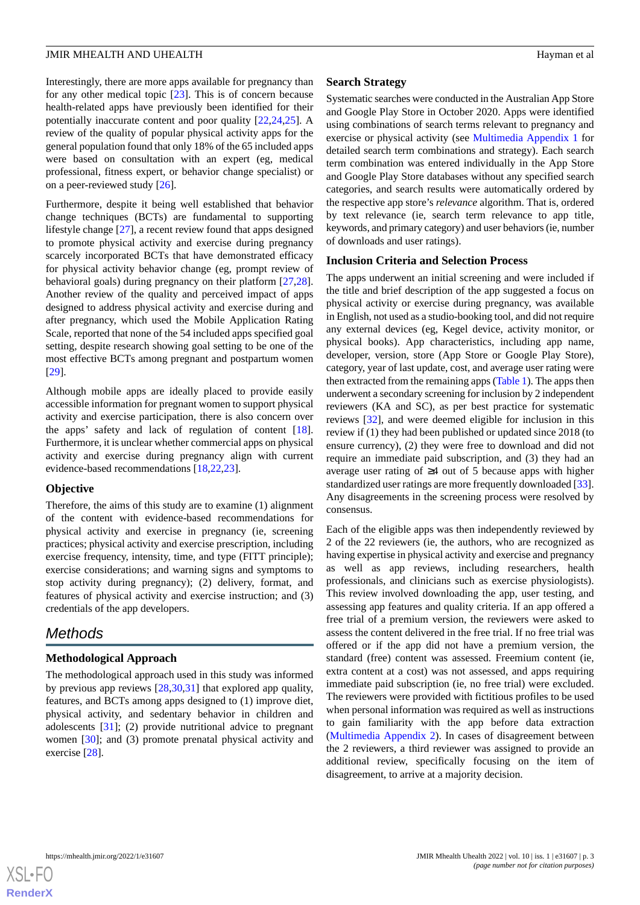Interestingly, there are more apps available for pregnancy than for any other medical topic [[23\]](#page-12-12). This is of concern because health-related apps have previously been identified for their potentially inaccurate content and poor quality [\[22](#page-12-11),[24,](#page-12-13)[25](#page-12-14)]. A review of the quality of popular physical activity apps for the general population found that only 18% of the 65 included apps were based on consultation with an expert (eg, medical professional, fitness expert, or behavior change specialist) or on a peer-reviewed study [\[26](#page-12-15)].

Furthermore, despite it being well established that behavior change techniques (BCTs) are fundamental to supporting lifestyle change [\[27](#page-12-16)], a recent review found that apps designed to promote physical activity and exercise during pregnancy scarcely incorporated BCTs that have demonstrated efficacy for physical activity behavior change (eg, prompt review of behavioral goals) during pregnancy on their platform [\[27](#page-12-16),[28\]](#page-13-0). Another review of the quality and perceived impact of apps designed to address physical activity and exercise during and after pregnancy, which used the Mobile Application Rating Scale, reported that none of the 54 included apps specified goal setting, despite research showing goal setting to be one of the most effective BCTs among pregnant and postpartum women [[29\]](#page-13-1).

Although mobile apps are ideally placed to provide easily accessible information for pregnant women to support physical activity and exercise participation, there is also concern over the apps' safety and lack of regulation of content [[18\]](#page-12-9). Furthermore, it is unclear whether commercial apps on physical activity and exercise during pregnancy align with current evidence-based recommendations [\[18](#page-12-9),[22](#page-12-11)[,23](#page-12-12)].

#### **Objective**

Therefore, the aims of this study are to examine (1) alignment of the content with evidence-based recommendations for physical activity and exercise in pregnancy (ie, screening practices; physical activity and exercise prescription, including exercise frequency, intensity, time, and type (FITT principle); exercise considerations; and warning signs and symptoms to stop activity during pregnancy); (2) delivery, format, and features of physical activity and exercise instruction; and (3) credentials of the app developers.

# *Methods*

#### **Methodological Approach**

The methodological approach used in this study was informed by previous app reviews [\[28](#page-13-0),[30,](#page-13-2)[31](#page-13-3)] that explored app quality, features, and BCTs among apps designed to (1) improve diet, physical activity, and sedentary behavior in children and adolescents [\[31](#page-13-3)]; (2) provide nutritional advice to pregnant women [\[30](#page-13-2)]; and (3) promote prenatal physical activity and exercise [[28\]](#page-13-0).

#### **Search Strategy**

Systematic searches were conducted in the Australian App Store and Google Play Store in October 2020. Apps were identified using combinations of search terms relevant to pregnancy and exercise or physical activity (see [Multimedia Appendix 1](#page-11-5) for detailed search term combinations and strategy). Each search term combination was entered individually in the App Store and Google Play Store databases without any specified search categories, and search results were automatically ordered by the respective app store's *relevance* algorithm. That is, ordered by text relevance (ie, search term relevance to app title, keywords, and primary category) and user behaviors (ie, number of downloads and user ratings).

#### **Inclusion Criteria and Selection Process**

The apps underwent an initial screening and were included if the title and brief description of the app suggested a focus on physical activity or exercise during pregnancy, was available in English, not used as a studio-booking tool, and did not require any external devices (eg, Kegel device, activity monitor, or physical books). App characteristics, including app name, developer, version, store (App Store or Google Play Store), category, year of last update, cost, and average user rating were then extracted from the remaining apps ([Table 1](#page-3-0)). The apps then underwent a secondary screening for inclusion by 2 independent reviewers (KA and SC), as per best practice for systematic reviews [\[32](#page-13-4)], and were deemed eligible for inclusion in this review if (1) they had been published or updated since 2018 (to ensure currency), (2) they were free to download and did not require an immediate paid subscription, and (3) they had an average user rating of ≥4 out of 5 because apps with higher standardized user ratings are more frequently downloaded [[33\]](#page-13-5). Any disagreements in the screening process were resolved by consensus.

Each of the eligible apps was then independently reviewed by 2 of the 22 reviewers (ie, the authors, who are recognized as having expertise in physical activity and exercise and pregnancy as well as app reviews, including researchers, health professionals, and clinicians such as exercise physiologists). This review involved downloading the app, user testing, and assessing app features and quality criteria. If an app offered a free trial of a premium version, the reviewers were asked to assess the content delivered in the free trial. If no free trial was offered or if the app did not have a premium version, the standard (free) content was assessed. Freemium content (ie, extra content at a cost) was not assessed, and apps requiring immediate paid subscription (ie, no free trial) were excluded. The reviewers were provided with fictitious profiles to be used when personal information was required as well as instructions to gain familiarity with the app before data extraction ([Multimedia Appendix 2](#page-11-6)). In cases of disagreement between the 2 reviewers, a third reviewer was assigned to provide an additional review, specifically focusing on the item of disagreement, to arrive at a majority decision.

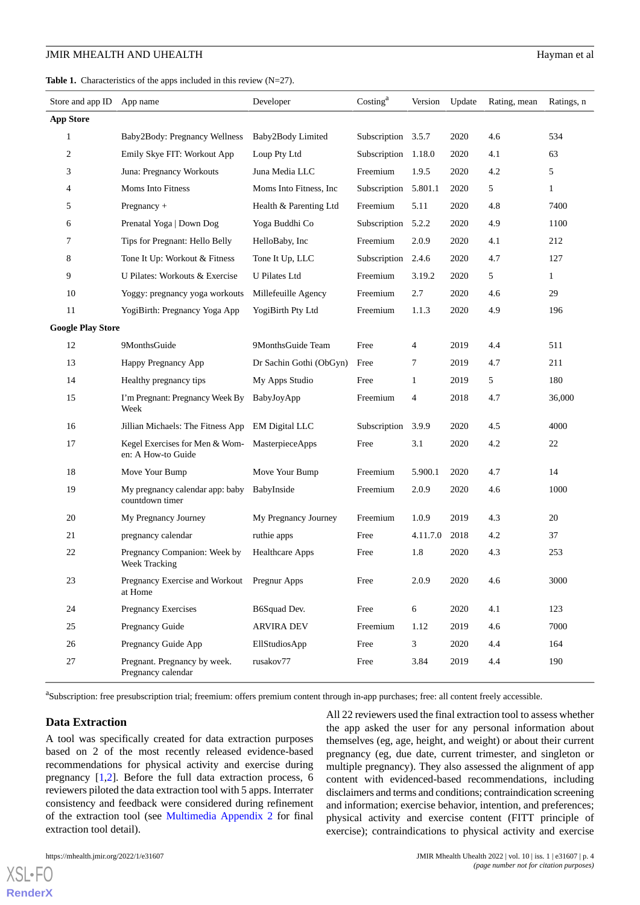<span id="page-3-0"></span>

| <b>Table 1.</b> Characteristics of the apps included in this review $(N=27)$ . |  |
|--------------------------------------------------------------------------------|--|
|--------------------------------------------------------------------------------|--|

| Store and app ID         | App name                                               | Developer               | Costing <sup>a</sup> | Version        | Update | Rating, mean | Ratings, n   |
|--------------------------|--------------------------------------------------------|-------------------------|----------------------|----------------|--------|--------------|--------------|
| <b>App Store</b>         |                                                        |                         |                      |                |        |              |              |
| 1                        | Baby2Body: Pregnancy Wellness                          | Baby2Body Limited       | Subscription 3.5.7   |                | 2020   | 4.6          | 534          |
| 2                        | Emily Skye FIT: Workout App                            | Loup Pty Ltd            | Subscription         | 1.18.0         | 2020   | 4.1          | 63           |
| 3                        | Juna: Pregnancy Workouts                               | Juna Media LLC          | Freemium             | 1.9.5          | 2020   | 4.2          | 5            |
| 4                        | Moms Into Fitness                                      | Moms Into Fitness, Inc. | Subscription         | 5.801.1        | 2020   | 5            | $\mathbf{1}$ |
| 5                        | Pregnancy $+$                                          | Health & Parenting Ltd  | Freemium             | 5.11           | 2020   | 4.8          | 7400         |
| 6                        | Prenatal Yoga   Down Dog                               | Yoga Buddhi Co          | Subscription         | 5.2.2          | 2020   | 4.9          | 1100         |
| 7                        | Tips for Pregnant: Hello Belly                         | HelloBaby, Inc.         | Freemium             | 2.0.9          | 2020   | 4.1          | 212          |
| 8                        | Tone It Up: Workout & Fitness                          | Tone It Up, LLC         | Subscription         | 2.4.6          | 2020   | 4.7          | 127          |
| 9                        | U Pilates: Workouts & Exercise                         | <b>U</b> Pilates Ltd    | Freemium             | 3.19.2         | 2020   | 5            | $\mathbf{1}$ |
| 10                       | Yoggy: pregnancy yoga workouts                         | Millefeuille Agency     | Freemium             | 2.7            | 2020   | 4.6          | 29           |
| 11                       | YogiBirth: Pregnancy Yoga App                          | YogiBirth Pty Ltd       | Freemium             | 1.1.3          | 2020   | 4.9          | 196          |
| <b>Google Play Store</b> |                                                        |                         |                      |                |        |              |              |
| 12                       | 9MonthsGuide                                           | 9MonthsGuide Team       | Free                 | 4              | 2019   | 4.4          | 511          |
| 13                       | Happy Pregnancy App                                    | Dr Sachin Gothi (ObGyn) | Free                 | 7              | 2019   | 4.7          | 211          |
| 14                       | Healthy pregnancy tips                                 | My Apps Studio          | Free                 | 1              | 2019   | 5            | 180          |
| 15                       | I'm Pregnant: Pregnancy Week By<br>Week                | BabyJoyApp              | Freemium             | 4              | 2018   | 4.7          | 36,000       |
| 16                       | Jillian Michaels: The Fitness App                      | <b>EM Digital LLC</b>   | Subscription         | 3.9.9          | 2020   | 4.5          | 4000         |
| 17                       | Kegel Exercises for Men & Wom-<br>en: A How-to Guide   | MasterpieceApps         | Free                 | 3.1            | 2020   | 4.2          | 22           |
| 18                       | Move Your Bump                                         | Move Your Bump          | Freemium             | 5.900.1        | 2020   | 4.7          | 14           |
| 19                       | My pregnancy calendar app: baby<br>countdown timer     | BabyInside              | Freemium             | 2.0.9          | 2020   | 4.6          | 1000         |
| 20                       | My Pregnancy Journey                                   | My Pregnancy Journey    | Freemium             | 1.0.9          | 2019   | 4.3          | 20           |
| 21                       | pregnancy calendar                                     | ruthie apps             | Free                 | 4.11.7.0       | 2018   | 4.2          | 37           |
| 22                       | Pregnancy Companion: Week by<br>Week Tracking          | <b>Healthcare Apps</b>  | Free                 | 1.8            | 2020   | 4.3          | 253          |
| 23                       | Pregnancy Exercise and Workout Pregnur Apps<br>at Home |                         | Free                 | 2.0.9          | 2020   | 4.6          | 3000         |
| 24                       | Pregnancy Exercises                                    | B6Squad Dev.            | Free                 | $\sqrt{6}$     | 2020   | 4.1          | 123          |
| 25                       | Pregnancy Guide                                        | <b>ARVIRA DEV</b>       | Freemium             | 1.12           | 2019   | 4.6          | 7000         |
| 26                       | Pregnancy Guide App                                    | EllStudiosApp           | Free                 | $\mathfrak{Z}$ | 2020   | 4.4          | 164          |
| 27                       | Pregnant. Pregnancy by week.<br>Pregnancy calendar     | rusakov77               | Free                 | 3.84           | 2019   | 4.4          | 190          |

<sup>a</sup>Subscription: free presubscription trial; freemium: offers premium content through in-app purchases; free: all content freely accessible.

#### **Data Extraction**

A tool was specifically created for data extraction purposes based on 2 of the most recently released evidence-based recommendations for physical activity and exercise during pregnancy [\[1](#page-11-0),[2](#page-11-2)]. Before the full data extraction process, 6 reviewers piloted the data extraction tool with 5 apps. Interrater consistency and feedback were considered during refinement of the extraction tool (see [Multimedia Appendix 2](#page-11-6) for final extraction tool detail).

 $XS$  • FC **[RenderX](http://www.renderx.com/)**

All 22 reviewers used the final extraction tool to assess whether the app asked the user for any personal information about themselves (eg, age, height, and weight) or about their current pregnancy (eg, due date, current trimester, and singleton or multiple pregnancy). They also assessed the alignment of app content with evidenced-based recommendations, including disclaimers and terms and conditions; contraindication screening and information; exercise behavior, intention, and preferences; physical activity and exercise content (FITT principle of exercise); contraindications to physical activity and exercise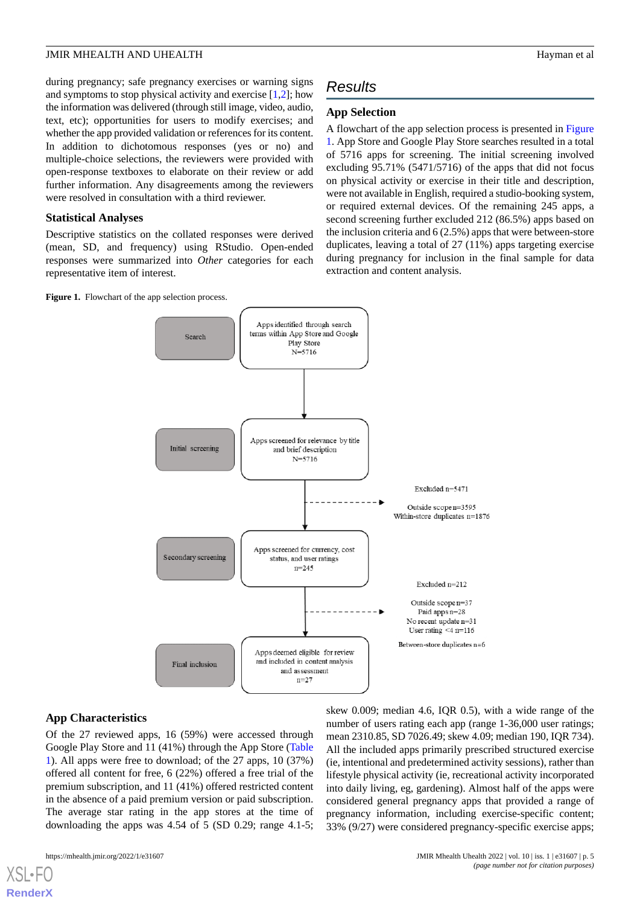during pregnancy; safe pregnancy exercises or warning signs and symptoms to stop physical activity and exercise [[1](#page-11-0)[,2](#page-11-2)]; how the information was delivered (through still image, video, audio, text, etc); opportunities for users to modify exercises; and whether the app provided validation or references for its content. In addition to dichotomous responses (yes or no) and multiple-choice selections, the reviewers were provided with open-response textboxes to elaborate on their review or add further information. Any disagreements among the reviewers were resolved in consultation with a third reviewer.

#### **Statistical Analyses**

Descriptive statistics on the collated responses were derived (mean, SD, and frequency) using RStudio. Open-ended responses were summarized into *Other* categories for each representative item of interest.

<span id="page-4-0"></span>**Figure 1.** Flowchart of the app selection process.

# *Results*

#### **App Selection**

A flowchart of the app selection process is presented in [Figure](#page-4-0) [1.](#page-4-0) App Store and Google Play Store searches resulted in a total of 5716 apps for screening. The initial screening involved excluding 95.71% (5471/5716) of the apps that did not focus on physical activity or exercise in their title and description, were not available in English, required a studio-booking system, or required external devices. Of the remaining 245 apps, a second screening further excluded 212 (86.5%) apps based on the inclusion criteria and 6 (2.5%) apps that were between-store duplicates, leaving a total of 27 (11%) apps targeting exercise during pregnancy for inclusion in the final sample for data extraction and content analysis.



#### **App Characteristics**

Of the 27 reviewed apps, 16 (59%) were accessed through Google Play Store and 11 (41%) through the App Store ([Table](#page-3-0) [1\)](#page-3-0). All apps were free to download; of the 27 apps, 10 (37%) offered all content for free, 6 (22%) offered a free trial of the premium subscription, and 11 (41%) offered restricted content in the absence of a paid premium version or paid subscription. The average star rating in the app stores at the time of downloading the apps was 4.54 of 5 (SD 0.29; range 4.1-5;

number of users rating each app (range 1-36,000 user ratings; mean 2310.85, SD 7026.49; skew 4.09; median 190, IQR 734). All the included apps primarily prescribed structured exercise (ie, intentional and predetermined activity sessions), rather than lifestyle physical activity (ie, recreational activity incorporated into daily living, eg, gardening). Almost half of the apps were considered general pregnancy apps that provided a range of pregnancy information, including exercise-specific content; 33% (9/27) were considered pregnancy-specific exercise apps;

skew 0.009; median 4.6, IQR 0.5), with a wide range of the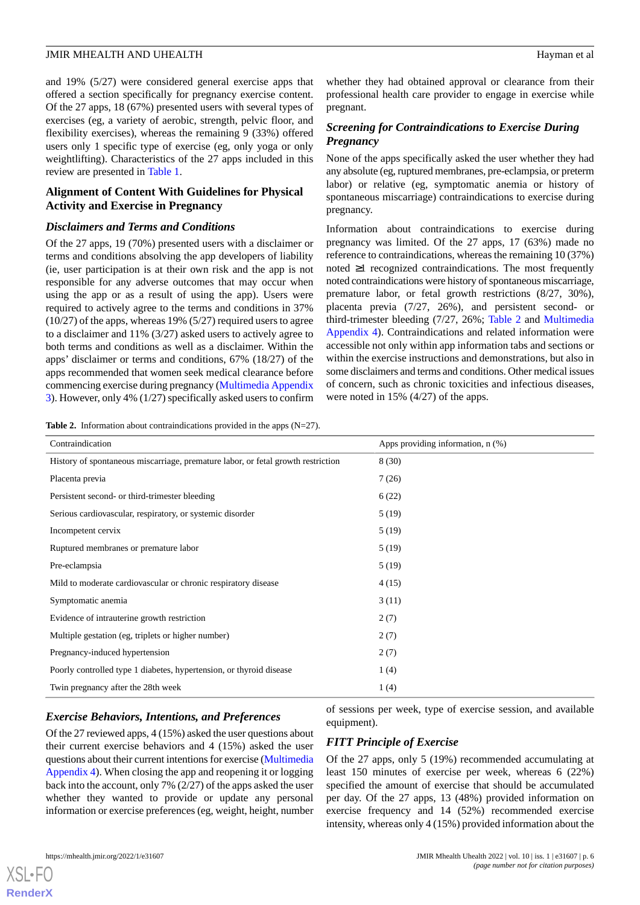and 19% (5/27) were considered general exercise apps that offered a section specifically for pregnancy exercise content. Of the 27 apps, 18 (67%) presented users with several types of exercises (eg, a variety of aerobic, strength, pelvic floor, and flexibility exercises), whereas the remaining 9 (33%) offered users only 1 specific type of exercise (eg, only yoga or only weightlifting). Characteristics of the 27 apps included in this review are presented in [Table 1](#page-3-0).

#### **Alignment of Content With Guidelines for Physical Activity and Exercise in Pregnancy**

#### *Disclaimers and Terms and Conditions*

Of the 27 apps, 19 (70%) presented users with a disclaimer or terms and conditions absolving the app developers of liability (ie, user participation is at their own risk and the app is not responsible for any adverse outcomes that may occur when using the app or as a result of using the app). Users were required to actively agree to the terms and conditions in 37% (10/27) of the apps, whereas 19% (5/27) required users to agree to a disclaimer and 11% (3/27) asked users to actively agree to both terms and conditions as well as a disclaimer. Within the apps' disclaimer or terms and conditions, 67% (18/27) of the apps recommended that women seek medical clearance before commencing exercise during pregnancy [\(Multimedia Appendix](#page-11-7) [3\)](#page-11-7). However, only 4% (1/27) specifically asked users to confirm

<span id="page-5-0"></span>**Table 2.** Information about contraindications provided in the apps (N=27).

whether they had obtained approval or clearance from their professional health care provider to engage in exercise while pregnant.

### *Screening for Contraindications to Exercise During Pregnancy*

None of the apps specifically asked the user whether they had any absolute (eg, ruptured membranes, pre-eclampsia, or preterm labor) or relative (eg, symptomatic anemia or history of spontaneous miscarriage) contraindications to exercise during pregnancy.

Information about contraindications to exercise during pregnancy was limited. Of the 27 apps, 17 (63%) made no reference to contraindications, whereas the remaining 10 (37%) noted ≥1 recognized contraindications. The most frequently noted contraindications were history of spontaneous miscarriage, premature labor, or fetal growth restrictions (8/27, 30%), placenta previa (7/27, 26%), and persistent second- or third-trimester bleeding (7/27, 26%; [Table 2](#page-5-0) and [Multimedia](#page-11-8) [Appendix 4](#page-11-8)). Contraindications and related information were accessible not only within app information tabs and sections or within the exercise instructions and demonstrations, but also in some disclaimers and terms and conditions. Other medical issues of concern, such as chronic toxicities and infectious diseases, were noted in 15% (4/27) of the apps.

| Contraindication                                                                 | Apps providing information, $n$ $(\%)$ |
|----------------------------------------------------------------------------------|----------------------------------------|
| History of spontaneous miscarriage, premature labor, or fetal growth restriction | 8(30)                                  |
| Placenta previa                                                                  | 7(26)                                  |
| Persistent second- or third-trimester bleeding                                   | 6(22)                                  |
| Serious cardiovascular, respiratory, or systemic disorder                        | 5(19)                                  |
| Incompetent cervix                                                               | 5(19)                                  |
| Ruptured membranes or premature labor                                            | 5(19)                                  |
| Pre-eclampsia                                                                    | 5(19)                                  |
| Mild to moderate cardiovascular or chronic respiratory disease                   | 4(15)                                  |
| Symptomatic anemia                                                               | 3(11)                                  |
| Evidence of intrauterine growth restriction                                      | 2(7)                                   |
| Multiple gestation (eg, triplets or higher number)                               | 2(7)                                   |
| Pregnancy-induced hypertension                                                   | 2(7)                                   |
| Poorly controlled type 1 diabetes, hypertension, or thyroid disease              | 1(4)                                   |
| Twin pregnancy after the 28th week                                               | 1(4)                                   |

# *Exercise Behaviors, Intentions, and Preferences*

Of the 27 reviewed apps, 4 (15%) asked the user questions about their current exercise behaviors and 4 (15%) asked the user questions about their current intentions for exercise ([Multimedia](#page-11-8) [Appendix 4](#page-11-8)). When closing the app and reopening it or logging back into the account, only 7% (2/27) of the apps asked the user whether they wanted to provide or update any personal information or exercise preferences (eg, weight, height, number of sessions per week, type of exercise session, and available equipment).

#### *FITT Principle of Exercise*

Of the 27 apps, only 5 (19%) recommended accumulating at least 150 minutes of exercise per week, whereas 6 (22%) specified the amount of exercise that should be accumulated per day. Of the 27 apps, 13 (48%) provided information on exercise frequency and 14 (52%) recommended exercise intensity, whereas only 4 (15%) provided information about the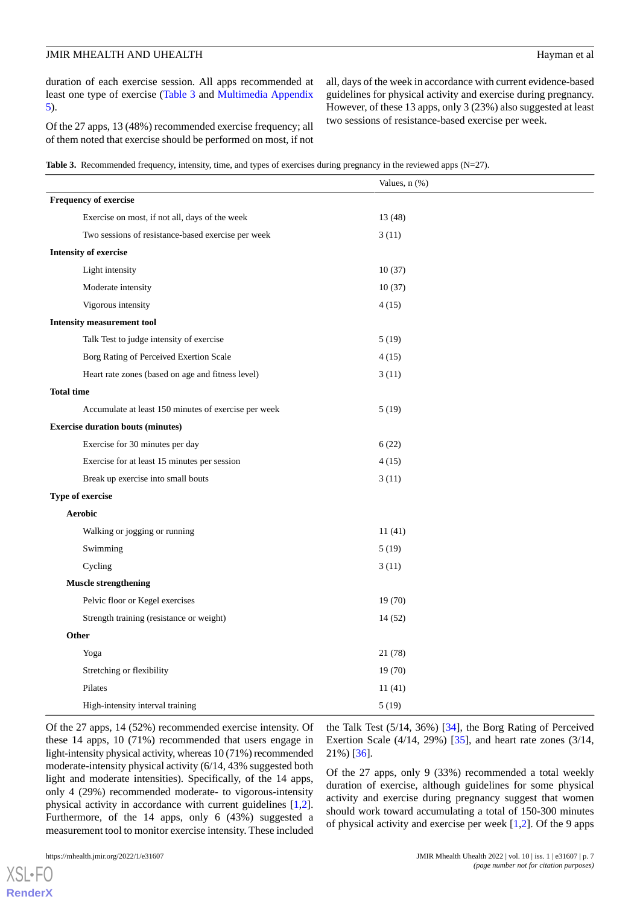duration of each exercise session. All apps recommended at least one type of exercise ([Table 3](#page-6-0) and [Multimedia Appendix](#page-11-9) [5\)](#page-11-9).

Of the 27 apps, 13 (48%) recommended exercise frequency; all of them noted that exercise should be performed on most, if not

all, days of the week in accordance with current evidence-based guidelines for physical activity and exercise during pregnancy. However, of these 13 apps, only 3 (23%) also suggested at least two sessions of resistance-based exercise per week.

<span id="page-6-0"></span>**Table 3.** Recommended frequency, intensity, time, and types of exercises during pregnancy in the reviewed apps (N=27).

|                                                      | Values, $n$ $(\%)$ |
|------------------------------------------------------|--------------------|
| <b>Frequency of exercise</b>                         |                    |
| Exercise on most, if not all, days of the week       | 13 (48)            |
| Two sessions of resistance-based exercise per week   | 3(11)              |
| <b>Intensity of exercise</b>                         |                    |
| Light intensity                                      | 10(37)             |
| Moderate intensity                                   | 10(37)             |
| Vigorous intensity                                   | 4(15)              |
| <b>Intensity measurement tool</b>                    |                    |
| Talk Test to judge intensity of exercise             | 5(19)              |
| Borg Rating of Perceived Exertion Scale              | 4(15)              |
| Heart rate zones (based on age and fitness level)    | 3(11)              |
| <b>Total time</b>                                    |                    |
| Accumulate at least 150 minutes of exercise per week | 5(19)              |
| <b>Exercise duration bouts (minutes)</b>             |                    |
| Exercise for 30 minutes per day                      | 6(22)              |
| Exercise for at least 15 minutes per session         | 4(15)              |
| Break up exercise into small bouts                   | 3(11)              |
| Type of exercise                                     |                    |
| <b>Aerobic</b>                                       |                    |
| Walking or jogging or running                        | 11(41)             |
| Swimming                                             | 5(19)              |
| Cycling                                              | 3(11)              |
| <b>Muscle strengthening</b>                          |                    |
| Pelvic floor or Kegel exercises                      | 19(70)             |
| Strength training (resistance or weight)             | 14(52)             |
| Other                                                |                    |
| Yoga                                                 | 21 (78)            |
| Stretching or flexibility                            | 19(70)             |
| Pilates                                              | 11(41)             |
| High-intensity interval training                     | 5(19)              |

Of the 27 apps, 14 (52%) recommended exercise intensity. Of these 14 apps, 10 (71%) recommended that users engage in light-intensity physical activity, whereas 10 (71%) recommended moderate-intensity physical activity (6/14, 43% suggested both light and moderate intensities). Specifically, of the 14 apps, only 4 (29%) recommended moderate- to vigorous-intensity physical activity in accordance with current guidelines [\[1](#page-11-0),[2\]](#page-11-2). Furthermore, of the 14 apps, only 6 (43%) suggested a measurement tool to monitor exercise intensity. These included

the Talk Test (5/14, 36%) [[34\]](#page-13-6), the Borg Rating of Perceived Exertion Scale (4/14, 29%) [[35\]](#page-13-7), and heart rate zones (3/14, 21%) [\[36](#page-13-8)].

Of the 27 apps, only 9 (33%) recommended a total weekly duration of exercise, although guidelines for some physical activity and exercise during pregnancy suggest that women should work toward accumulating a total of 150-300 minutes of physical activity and exercise per week [[1,](#page-11-0)[2](#page-11-2)]. Of the 9 apps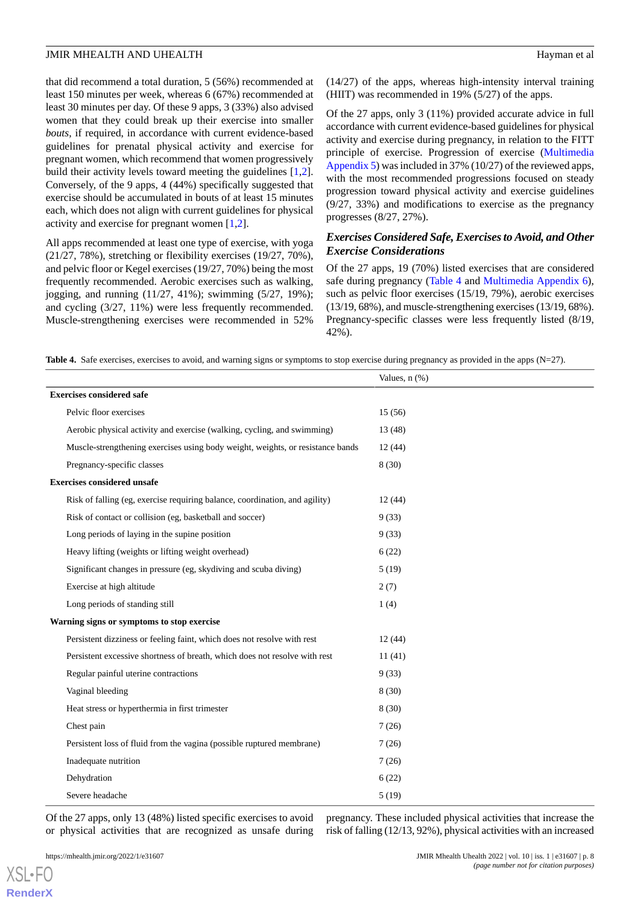that did recommend a total duration, 5 (56%) recommended at least 150 minutes per week, whereas 6 (67%) recommended at least 30 minutes per day. Of these 9 apps, 3 (33%) also advised women that they could break up their exercise into smaller *bouts,* if required, in accordance with current evidence-based guidelines for prenatal physical activity and exercise for pregnant women, which recommend that women progressively build their activity levels toward meeting the guidelines [\[1](#page-11-0),[2\]](#page-11-2). Conversely, of the 9 apps, 4 (44%) specifically suggested that exercise should be accumulated in bouts of at least 15 minutes each, which does not align with current guidelines for physical activity and exercise for pregnant women [\[1](#page-11-0),[2\]](#page-11-2).

All apps recommended at least one type of exercise, with yoga (21/27, 78%), stretching or flexibility exercises (19/27, 70%), and pelvic floor or Kegel exercises (19/27, 70%) being the most frequently recommended. Aerobic exercises such as walking, jogging, and running (11/27, 41%); swimming (5/27, 19%); and cycling (3/27, 11%) were less frequently recommended. Muscle-strengthening exercises were recommended in 52%

(14/27) of the apps, whereas high-intensity interval training (HIIT) was recommended in 19% (5/27) of the apps.

Of the 27 apps, only 3 (11%) provided accurate advice in full accordance with current evidence-based guidelines for physical activity and exercise during pregnancy, in relation to the FITT principle of exercise. Progression of exercise [\(Multimedia](#page-11-9) [Appendix 5\)](#page-11-9) was included in 37% (10/27) of the reviewed apps, with the most recommended progressions focused on steady progression toward physical activity and exercise guidelines (9/27, 33%) and modifications to exercise as the pregnancy progresses (8/27, 27%).

#### *Exercises Considered Safe, Exercises to Avoid, and Other Exercise Considerations*

Of the 27 apps, 19 (70%) listed exercises that are considered safe during pregnancy ([Table 4](#page-7-0) and [Multimedia Appendix 6\)](#page-11-10), such as pelvic floor exercises (15/19, 79%), aerobic exercises (13/19, 68%), and muscle-strengthening exercises (13/19, 68%). Pregnancy-specific classes were less frequently listed (8/19, 42%).

<span id="page-7-0"></span>**Table 4.** Safe exercises, exercises to avoid, and warning signs or symptoms to stop exercise during pregnancy as provided in the apps (N=27).

|                                                                                | Values, n (%) |  |  |
|--------------------------------------------------------------------------------|---------------|--|--|
| <b>Exercises considered safe</b>                                               |               |  |  |
| Pelvic floor exercises                                                         | 15(56)        |  |  |
| Aerobic physical activity and exercise (walking, cycling, and swimming)        | 13(48)        |  |  |
| Muscle-strengthening exercises using body weight, weights, or resistance bands | 12(44)        |  |  |
| Pregnancy-specific classes                                                     | 8(30)         |  |  |
| <b>Exercises considered unsafe</b>                                             |               |  |  |
| Risk of falling (eg, exercise requiring balance, coordination, and agility)    | 12(44)        |  |  |
| Risk of contact or collision (eg, basketball and soccer)                       | 9(33)         |  |  |
| Long periods of laying in the supine position                                  | 9(33)         |  |  |
| Heavy lifting (weights or lifting weight overhead)                             | 6(22)         |  |  |
| Significant changes in pressure (eg, skydiving and scuba diving)               | 5(19)         |  |  |
| Exercise at high altitude                                                      | 2(7)          |  |  |
| Long periods of standing still                                                 | 1(4)          |  |  |
| Warning signs or symptoms to stop exercise                                     |               |  |  |
| Persistent dizziness or feeling faint, which does not resolve with rest        | 12(44)        |  |  |
| Persistent excessive shortness of breath, which does not resolve with rest     | 11(41)        |  |  |
| Regular painful uterine contractions                                           | 9(33)         |  |  |
| Vaginal bleeding                                                               | 8(30)         |  |  |
| Heat stress or hyperthermia in first trimester                                 | 8(30)         |  |  |
| Chest pain                                                                     | 7(26)         |  |  |
| Persistent loss of fluid from the vagina (possible ruptured membrane)          | 7(26)         |  |  |
| Inadequate nutrition                                                           | 7(26)         |  |  |
| Dehydration                                                                    | 6(22)         |  |  |
| Severe headache                                                                | 5(19)         |  |  |

Of the 27 apps, only 13 (48%) listed specific exercises to avoid or physical activities that are recognized as unsafe during

pregnancy. These included physical activities that increase the risk of falling (12/13, 92%), physical activities with an increased

[XSL](http://www.w3.org/Style/XSL)•FO **[RenderX](http://www.renderx.com/)**

https://mhealth.jmir.org/2022/1/e31607 JMIR Mhealth Uhealth 2022 | vol. 10 | iss. 1 | e31607 | p. 8 *(page number not for citation purposes)*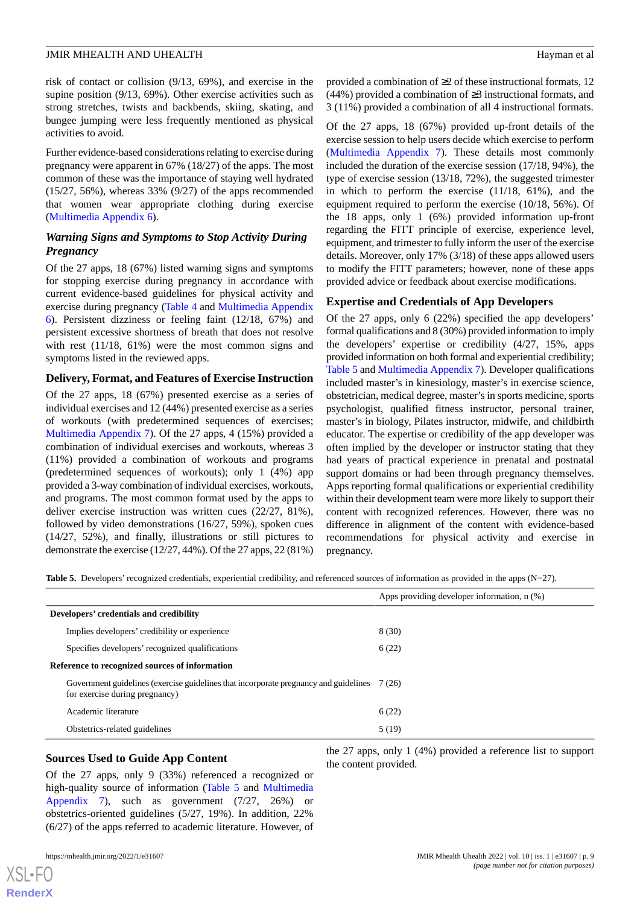risk of contact or collision (9/13, 69%), and exercise in the supine position (9/13, 69%). Other exercise activities such as strong stretches, twists and backbends, skiing, skating, and bungee jumping were less frequently mentioned as physical activities to avoid.

Further evidence-based considerations relating to exercise during pregnancy were apparent in 67% (18/27) of the apps. The most common of these was the importance of staying well hydrated (15/27, 56%), whereas 33% (9/27) of the apps recommended that women wear appropriate clothing during exercise ([Multimedia Appendix 6\)](#page-11-10).

#### *Warning Signs and Symptoms to Stop Activity During Pregnancy*

Of the 27 apps, 18 (67%) listed warning signs and symptoms for stopping exercise during pregnancy in accordance with current evidence-based guidelines for physical activity and exercise during pregnancy ([Table 4](#page-7-0) and [Multimedia Appendix](#page-11-10) [6\)](#page-11-10). Persistent dizziness or feeling faint (12/18, 67%) and persistent excessive shortness of breath that does not resolve with rest (11/18, 61%) were the most common signs and symptoms listed in the reviewed apps.

#### **Delivery, Format, and Features of Exercise Instruction**

Of the 27 apps, 18 (67%) presented exercise as a series of individual exercises and 12 (44%) presented exercise as a series of workouts (with predetermined sequences of exercises; [Multimedia Appendix 7](#page-11-11)). Of the 27 apps, 4 (15%) provided a combination of individual exercises and workouts, whereas 3 (11%) provided a combination of workouts and programs (predetermined sequences of workouts); only 1 (4%) app provided a 3-way combination of individual exercises, workouts, and programs. The most common format used by the apps to deliver exercise instruction was written cues (22/27, 81%), followed by video demonstrations (16/27, 59%), spoken cues (14/27, 52%), and finally, illustrations or still pictures to demonstrate the exercise (12/27, 44%). Of the 27 apps, 22 (81%)

provided a combination of ≥2 of these instructional formats, 12 (44%) provided a combination of ≥3 instructional formats, and 3 (11%) provided a combination of all 4 instructional formats.

Of the 27 apps, 18 (67%) provided up-front details of the exercise session to help users decide which exercise to perform ([Multimedia Appendix 7](#page-11-11)). These details most commonly included the duration of the exercise session (17/18, 94%), the type of exercise session (13/18, 72%), the suggested trimester in which to perform the exercise (11/18, 61%), and the equipment required to perform the exercise (10/18, 56%). Of the 18 apps, only 1 (6%) provided information up-front regarding the FITT principle of exercise, experience level, equipment, and trimester to fully inform the user of the exercise details. Moreover, only 17% (3/18) of these apps allowed users to modify the FITT parameters; however, none of these apps provided advice or feedback about exercise modifications.

#### **Expertise and Credentials of App Developers**

Of the 27 apps, only 6 (22%) specified the app developers' formal qualifications and 8 (30%) provided information to imply the developers' expertise or credibility (4/27, 15%, apps provided information on both formal and experiential credibility; [Table 5](#page-8-0) and [Multimedia Appendix 7](#page-11-11)). Developer qualifications included master's in kinesiology, master's in exercise science, obstetrician, medical degree, master's in sports medicine, sports psychologist, qualified fitness instructor, personal trainer, master's in biology, Pilates instructor, midwife, and childbirth educator. The expertise or credibility of the app developer was often implied by the developer or instructor stating that they had years of practical experience in prenatal and postnatal support domains or had been through pregnancy themselves. Apps reporting formal qualifications or experiential credibility within their development team were more likely to support their content with recognized references. However, there was no difference in alignment of the content with evidence-based recommendations for physical activity and exercise in pregnancy.

<span id="page-8-0"></span>**Table 5.** Developers' recognized credentials, experiential credibility, and referenced sources of information as provided in the apps (N=27).

|                                                |                                                                                                                               | Apps providing developer information, $n$ $(\%)$ |
|------------------------------------------------|-------------------------------------------------------------------------------------------------------------------------------|--------------------------------------------------|
|                                                |                                                                                                                               |                                                  |
|                                                | Developers' credentials and credibility                                                                                       |                                                  |
|                                                | Implies developers' credibility or experience                                                                                 | 8(30)                                            |
|                                                | Specifies developers' recognized qualifications                                                                               | 6(22)                                            |
| Reference to recognized sources of information |                                                                                                                               |                                                  |
|                                                | Government guidelines (exercise guidelines that incorporate pregnancy and guidelines 7 (26)<br>for exercise during pregnancy) |                                                  |
|                                                | Academic literature                                                                                                           | 6(22)                                            |
|                                                | Obstetrics-related guidelines                                                                                                 | 5(19)                                            |

#### **Sources Used to Guide App Content**

Of the 27 apps, only 9 (33%) referenced a recognized or high-quality source of information ([Table 5](#page-8-0) and [Multimedia](#page-11-11) [Appendix 7](#page-11-11)), such as government (7/27, 26%) or obstetrics-oriented guidelines (5/27, 19%). In addition, 22% (6/27) of the apps referred to academic literature. However, of

[XSL](http://www.w3.org/Style/XSL)•FO **[RenderX](http://www.renderx.com/)**

the 27 apps, only 1 (4%) provided a reference list to support the content provided.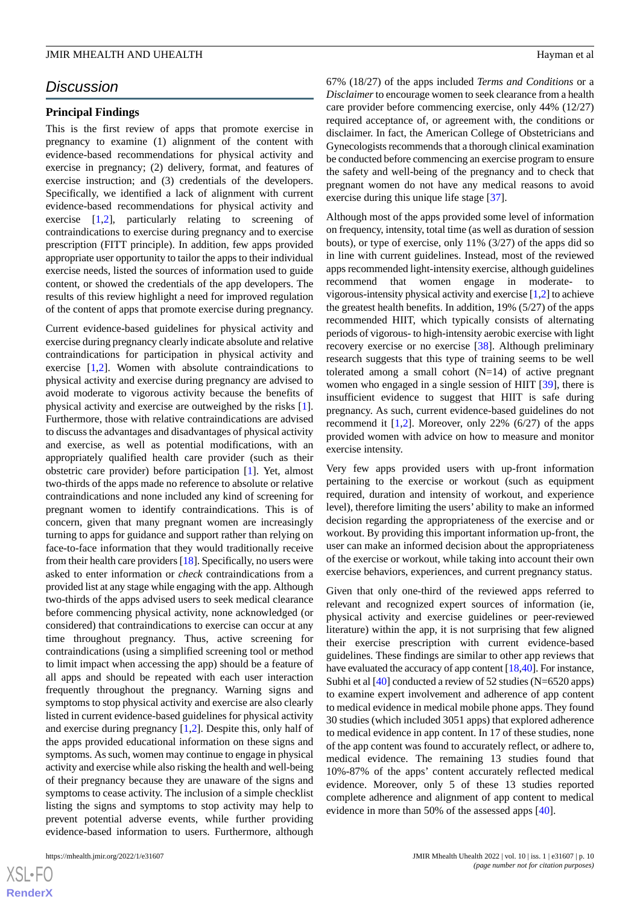# *Discussion*

#### **Principal Findings**

This is the first review of apps that promote exercise in pregnancy to examine (1) alignment of the content with evidence-based recommendations for physical activity and exercise in pregnancy; (2) delivery, format, and features of exercise instruction; and (3) credentials of the developers. Specifically, we identified a lack of alignment with current evidence-based recommendations for physical activity and exercise [[1](#page-11-0)[,2\]](#page-11-2), particularly relating to screening of contraindications to exercise during pregnancy and to exercise prescription (FITT principle). In addition, few apps provided appropriate user opportunity to tailor the apps to their individual exercise needs, listed the sources of information used to guide content, or showed the credentials of the app developers. The results of this review highlight a need for improved regulation of the content of apps that promote exercise during pregnancy.

Current evidence-based guidelines for physical activity and exercise during pregnancy clearly indicate absolute and relative contraindications for participation in physical activity and exercise [\[1](#page-11-0),[2\]](#page-11-2). Women with absolute contraindications to physical activity and exercise during pregnancy are advised to avoid moderate to vigorous activity because the benefits of physical activity and exercise are outweighed by the risks [[1\]](#page-11-0). Furthermore, those with relative contraindications are advised to discuss the advantages and disadvantages of physical activity and exercise, as well as potential modifications, with an appropriately qualified health care provider (such as their obstetric care provider) before participation [\[1](#page-11-0)]. Yet, almost two-thirds of the apps made no reference to absolute or relative contraindications and none included any kind of screening for pregnant women to identify contraindications. This is of concern, given that many pregnant women are increasingly turning to apps for guidance and support rather than relying on face-to-face information that they would traditionally receive from their health care providers [\[18](#page-12-9)]. Specifically, no users were asked to enter information or *check* contraindications from a provided list at any stage while engaging with the app. Although two-thirds of the apps advised users to seek medical clearance before commencing physical activity, none acknowledged (or considered) that contraindications to exercise can occur at any time throughout pregnancy. Thus, active screening for contraindications (using a simplified screening tool or method to limit impact when accessing the app) should be a feature of all apps and should be repeated with each user interaction frequently throughout the pregnancy. Warning signs and symptoms to stop physical activity and exercise are also clearly listed in current evidence-based guidelines for physical activity and exercise during pregnancy [[1](#page-11-0)[,2](#page-11-2)]. Despite this, only half of the apps provided educational information on these signs and symptoms. As such, women may continue to engage in physical activity and exercise while also risking the health and well-being of their pregnancy because they are unaware of the signs and symptoms to cease activity. The inclusion of a simple checklist listing the signs and symptoms to stop activity may help to prevent potential adverse events, while further providing evidence-based information to users. Furthermore, although

67% (18/27) of the apps included *Terms and Conditions* or a *Disclaimer*to encourage women to seek clearance from a health care provider before commencing exercise, only 44% (12/27) required acceptance of, or agreement with, the conditions or disclaimer. In fact, the American College of Obstetricians and Gynecologists recommends that a thorough clinical examination be conducted before commencing an exercise program to ensure the safety and well-being of the pregnancy and to check that pregnant women do not have any medical reasons to avoid exercise during this unique life stage [\[37](#page-13-9)].

Although most of the apps provided some level of information on frequency, intensity, total time (as well as duration of session bouts), or type of exercise, only 11% (3/27) of the apps did so in line with current guidelines. Instead, most of the reviewed apps recommended light-intensity exercise, although guidelines recommend that women engage in moderate- to vigorous-intensity physical activity and exercise [\[1](#page-11-0)[,2](#page-11-2)] to achieve the greatest health benefits. In addition, 19% (5/27) of the apps recommended HIIT, which typically consists of alternating periods of vigorous- to high-intensity aerobic exercise with light recovery exercise or no exercise [[38\]](#page-13-10). Although preliminary research suggests that this type of training seems to be well tolerated among a small cohort  $(N=14)$  of active pregnant women who engaged in a single session of HIIT [[39\]](#page-13-11), there is insufficient evidence to suggest that HIIT is safe during pregnancy. As such, current evidence-based guidelines do not recommend it  $[1,2]$  $[1,2]$  $[1,2]$ . Moreover, only 22%  $(6/27)$  of the apps provided women with advice on how to measure and monitor exercise intensity.

Very few apps provided users with up-front information pertaining to the exercise or workout (such as equipment required, duration and intensity of workout, and experience level), therefore limiting the users' ability to make an informed decision regarding the appropriateness of the exercise and or workout. By providing this important information up-front, the user can make an informed decision about the appropriateness of the exercise or workout, while taking into account their own exercise behaviors, experiences, and current pregnancy status.

Given that only one-third of the reviewed apps referred to relevant and recognized expert sources of information (ie, physical activity and exercise guidelines or peer-reviewed literature) within the app, it is not surprising that few aligned their exercise prescription with current evidence-based guidelines. These findings are similar to other app reviews that have evaluated the accuracy of app content [\[18](#page-12-9)[,40](#page-13-12)]. For instance, Subhi et al [\[40\]](#page-13-12) conducted a review of 52 studies (N=6520 apps) to examine expert involvement and adherence of app content to medical evidence in medical mobile phone apps. They found 30 studies (which included 3051 apps) that explored adherence to medical evidence in app content. In 17 of these studies, none of the app content was found to accurately reflect, or adhere to, medical evidence. The remaining 13 studies found that 10%-87% of the apps' content accurately reflected medical evidence. Moreover, only 5 of these 13 studies reported complete adherence and alignment of app content to medical evidence in more than 50% of the assessed apps [\[40](#page-13-12)].

 $XS$  $\cdot$ FC **[RenderX](http://www.renderx.com/)**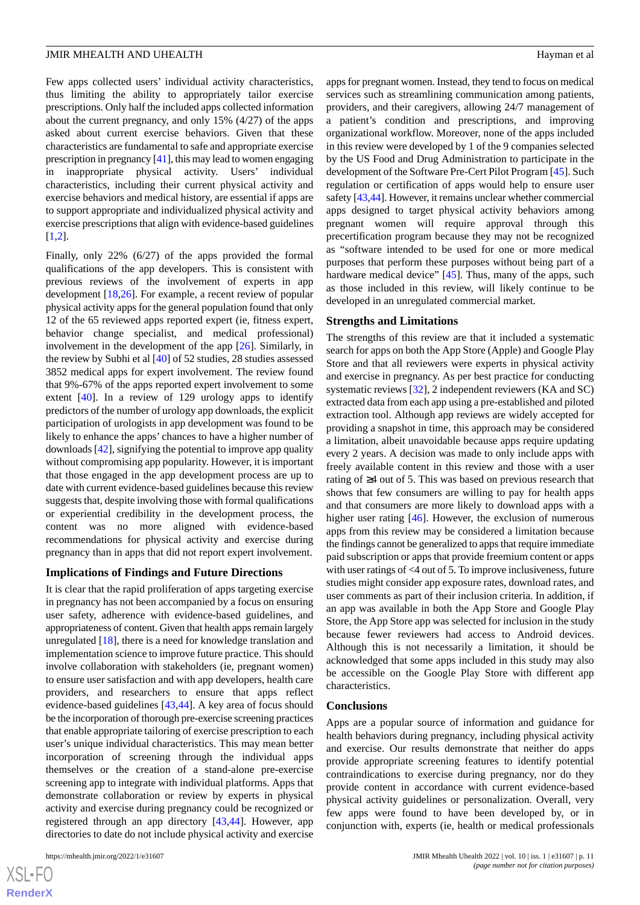Few apps collected users' individual activity characteristics, thus limiting the ability to appropriately tailor exercise prescriptions. Only half the included apps collected information about the current pregnancy, and only 15% (4/27) of the apps asked about current exercise behaviors. Given that these characteristics are fundamental to safe and appropriate exercise prescription in pregnancy [[41\]](#page-13-13), this may lead to women engaging in inappropriate physical activity. Users' individual characteristics, including their current physical activity and exercise behaviors and medical history, are essential if apps are to support appropriate and individualized physical activity and exercise prescriptions that align with evidence-based guidelines [[1](#page-11-0)[,2](#page-11-2)].

Finally, only 22% (6/27) of the apps provided the formal qualifications of the app developers. This is consistent with previous reviews of the involvement of experts in app development [[18](#page-12-9)[,26](#page-12-15)]. For example, a recent review of popular physical activity apps for the general population found that only 12 of the 65 reviewed apps reported expert (ie, fitness expert, behavior change specialist, and medical professional) involvement in the development of the app [[26\]](#page-12-15). Similarly, in the review by Subhi et al [\[40](#page-13-12)] of 52 studies, 28 studies assessed 3852 medical apps for expert involvement. The review found that 9%-67% of the apps reported expert involvement to some extent [[40\]](#page-13-12). In a review of 129 urology apps to identify predictors of the number of urology app downloads, the explicit participation of urologists in app development was found to be likely to enhance the apps' chances to have a higher number of downloads [[42\]](#page-13-14), signifying the potential to improve app quality without compromising app popularity. However, it is important that those engaged in the app development process are up to date with current evidence-based guidelines because this review suggests that, despite involving those with formal qualifications or experiential credibility in the development process, the content was no more aligned with evidence-based recommendations for physical activity and exercise during pregnancy than in apps that did not report expert involvement.

#### **Implications of Findings and Future Directions**

It is clear that the rapid proliferation of apps targeting exercise in pregnancy has not been accompanied by a focus on ensuring user safety, adherence with evidence-based guidelines, and appropriateness of content. Given that health apps remain largely unregulated [\[18](#page-12-9)], there is a need for knowledge translation and implementation science to improve future practice. This should involve collaboration with stakeholders (ie, pregnant women) to ensure user satisfaction and with app developers, health care providers, and researchers to ensure that apps reflect evidence-based guidelines [\[43](#page-13-15),[44\]](#page-13-16). A key area of focus should be the incorporation of thorough pre-exercise screening practices that enable appropriate tailoring of exercise prescription to each user's unique individual characteristics. This may mean better incorporation of screening through the individual apps themselves or the creation of a stand-alone pre-exercise screening app to integrate with individual platforms. Apps that demonstrate collaboration or review by experts in physical activity and exercise during pregnancy could be recognized or registered through an app directory [[43](#page-13-15)[,44](#page-13-16)]. However, app directories to date do not include physical activity and exercise

apps for pregnant women. Instead, they tend to focus on medical services such as streamlining communication among patients, providers, and their caregivers, allowing 24/7 management of a patient's condition and prescriptions, and improving organizational workflow. Moreover, none of the apps included in this review were developed by 1 of the 9 companies selected by the US Food and Drug Administration to participate in the development of the Software Pre-Cert Pilot Program [\[45](#page-13-17)]. Such regulation or certification of apps would help to ensure user safety [\[43](#page-13-15)[,44](#page-13-16)]. However, it remains unclear whether commercial apps designed to target physical activity behaviors among pregnant women will require approval through this precertification program because they may not be recognized as "software intended to be used for one or more medical purposes that perform these purposes without being part of a hardware medical device" [[45\]](#page-13-17). Thus, many of the apps, such as those included in this review, will likely continue to be developed in an unregulated commercial market.

#### **Strengths and Limitations**

The strengths of this review are that it included a systematic search for apps on both the App Store (Apple) and Google Play Store and that all reviewers were experts in physical activity and exercise in pregnancy. As per best practice for conducting systematic reviews [\[32](#page-13-4)], 2 independent reviewers (KA and SC) extracted data from each app using a pre-established and piloted extraction tool. Although app reviews are widely accepted for providing a snapshot in time, this approach may be considered a limitation, albeit unavoidable because apps require updating every 2 years. A decision was made to only include apps with freely available content in this review and those with a user rating of ≥4 out of 5. This was based on previous research that shows that few consumers are willing to pay for health apps and that consumers are more likely to download apps with a higher user rating [\[46](#page-13-18)]. However, the exclusion of numerous apps from this review may be considered a limitation because the findings cannot be generalized to apps that require immediate paid subscription or apps that provide freemium content or apps with user ratings of <4 out of 5. To improve inclusiveness, future studies might consider app exposure rates, download rates, and user comments as part of their inclusion criteria. In addition, if an app was available in both the App Store and Google Play Store, the App Store app was selected for inclusion in the study because fewer reviewers had access to Android devices. Although this is not necessarily a limitation, it should be acknowledged that some apps included in this study may also be accessible on the Google Play Store with different app characteristics.

#### **Conclusions**

Apps are a popular source of information and guidance for health behaviors during pregnancy, including physical activity and exercise. Our results demonstrate that neither do apps provide appropriate screening features to identify potential contraindications to exercise during pregnancy, nor do they provide content in accordance with current evidence-based physical activity guidelines or personalization. Overall, very few apps were found to have been developed by, or in conjunction with, experts (ie, health or medical professionals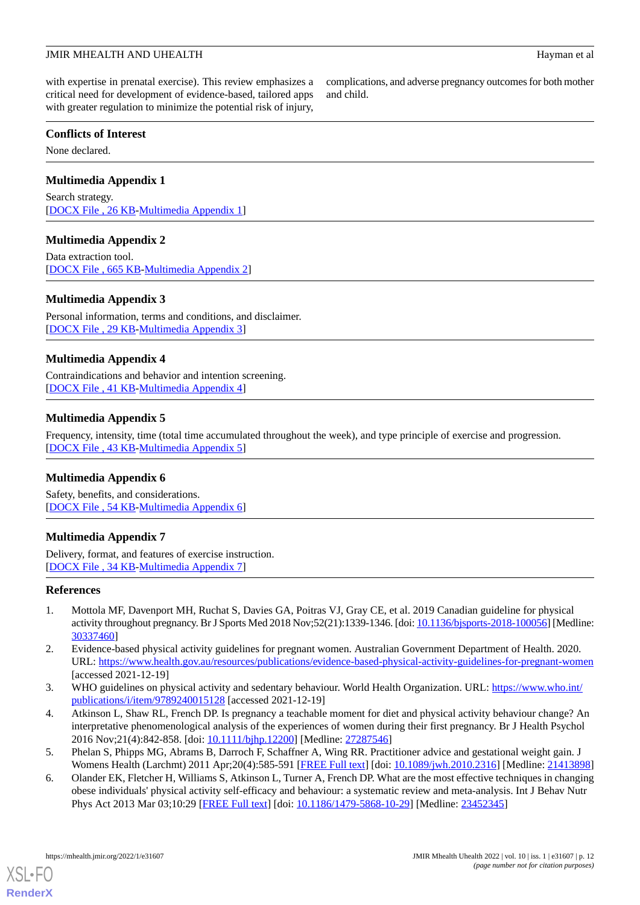with expertise in prenatal exercise). This review emphasizes a critical need for development of evidence-based, tailored apps with greater regulation to minimize the potential risk of injury,

#### **Conflicts of Interest**

<span id="page-11-5"></span>None declared.

#### **Multimedia Appendix 1**

<span id="page-11-6"></span>Search strategy. [[DOCX File , 26 KB](https://jmir.org/api/download?alt_name=mhealth_v10i1e31607_app1.docx&filename=48192edbf4b2a3b644e73092e17b55e4.docx)-[Multimedia Appendix 1\]](https://jmir.org/api/download?alt_name=mhealth_v10i1e31607_app1.docx&filename=48192edbf4b2a3b644e73092e17b55e4.docx)

#### **Multimedia Appendix 2**

<span id="page-11-7"></span>Data extraction tool. [[DOCX File , 665 KB-Multimedia Appendix 2\]](https://jmir.org/api/download?alt_name=mhealth_v10i1e31607_app2.docx&filename=919017082e6c8197fbcf85c5d834e4eb.docx)

#### **Multimedia Appendix 3**

<span id="page-11-8"></span>Personal information, terms and conditions, and disclaimer. [[DOCX File , 29 KB](https://jmir.org/api/download?alt_name=mhealth_v10i1e31607_app3.docx&filename=3e4e139633b9fc5fc4e7f56bb07fa3bf.docx)-[Multimedia Appendix 3\]](https://jmir.org/api/download?alt_name=mhealth_v10i1e31607_app3.docx&filename=3e4e139633b9fc5fc4e7f56bb07fa3bf.docx)

#### **Multimedia Appendix 4**

<span id="page-11-9"></span>Contraindications and behavior and intention screening. [[DOCX File , 41 KB](https://jmir.org/api/download?alt_name=mhealth_v10i1e31607_app4.docx&filename=c331b98b63772e82af32f52c5ecb2c95.docx)-[Multimedia Appendix 4\]](https://jmir.org/api/download?alt_name=mhealth_v10i1e31607_app4.docx&filename=c331b98b63772e82af32f52c5ecb2c95.docx)

#### **Multimedia Appendix 5**

<span id="page-11-10"></span>Frequency, intensity, time (total time accumulated throughout the week), and type principle of exercise and progression. [[DOCX File , 43 KB](https://jmir.org/api/download?alt_name=mhealth_v10i1e31607_app5.docx&filename=7a1d7d303d2452b1647bc1222b53b300.docx)-[Multimedia Appendix 5\]](https://jmir.org/api/download?alt_name=mhealth_v10i1e31607_app5.docx&filename=7a1d7d303d2452b1647bc1222b53b300.docx)

#### <span id="page-11-11"></span>**Multimedia Appendix 6**

Safety, benefits, and considerations. [[DOCX File , 54 KB](https://jmir.org/api/download?alt_name=mhealth_v10i1e31607_app6.docx&filename=c1910527641c5e80c89765210d7fe11f.docx)-[Multimedia Appendix 6\]](https://jmir.org/api/download?alt_name=mhealth_v10i1e31607_app6.docx&filename=c1910527641c5e80c89765210d7fe11f.docx)

#### **Multimedia Appendix 7**

<span id="page-11-0"></span>Delivery, format, and features of exercise instruction. [[DOCX File , 34 KB](https://jmir.org/api/download?alt_name=mhealth_v10i1e31607_app7.docx&filename=1707aefec82e609a5cccc8533e1100fd.docx)-[Multimedia Appendix 7\]](https://jmir.org/api/download?alt_name=mhealth_v10i1e31607_app7.docx&filename=1707aefec82e609a5cccc8533e1100fd.docx)

#### <span id="page-11-2"></span>**References**

- <span id="page-11-1"></span>1. Mottola MF, Davenport MH, Ruchat S, Davies GA, Poitras VJ, Gray CE, et al. 2019 Canadian guideline for physical activity throughout pregnancy. Br J Sports Med 2018 Nov;52(21):1339-1346. [doi: [10.1136/bjsports-2018-100056\]](http://dx.doi.org/10.1136/bjsports-2018-100056) [Medline: [30337460](http://www.ncbi.nlm.nih.gov/entrez/query.fcgi?cmd=Retrieve&db=PubMed&list_uids=30337460&dopt=Abstract)]
- <span id="page-11-3"></span>2. Evidence-based physical activity guidelines for pregnant women. Australian Government Department of Health. 2020. URL: <https://www.health.gov.au/resources/publications/evidence-based-physical-activity-guidelines-for-pregnant-women> [accessed 2021-12-19]
- <span id="page-11-4"></span>3. WHO guidelines on physical activity and sedentary behaviour. World Health Organization. URL: [https://www.who.int/](https://www.who.int/publications/i/item/9789240015128) [publications/i/item/9789240015128](https://www.who.int/publications/i/item/9789240015128) [accessed 2021-12-19]
- 4. Atkinson L, Shaw RL, French DP. Is pregnancy a teachable moment for diet and physical activity behaviour change? An interpretative phenomenological analysis of the experiences of women during their first pregnancy. Br J Health Psychol 2016 Nov;21(4):842-858. [doi: [10.1111/bjhp.12200\]](http://dx.doi.org/10.1111/bjhp.12200) [Medline: [27287546](http://www.ncbi.nlm.nih.gov/entrez/query.fcgi?cmd=Retrieve&db=PubMed&list_uids=27287546&dopt=Abstract)]
- 5. Phelan S, Phipps MG, Abrams B, Darroch F, Schaffner A, Wing RR. Practitioner advice and gestational weight gain. J Womens Health (Larchmt) 2011 Apr;20(4):585-591 [[FREE Full text\]](http://europepmc.org/abstract/MED/21413898) [doi: [10.1089/jwh.2010.2316\]](http://dx.doi.org/10.1089/jwh.2010.2316) [Medline: [21413898](http://www.ncbi.nlm.nih.gov/entrez/query.fcgi?cmd=Retrieve&db=PubMed&list_uids=21413898&dopt=Abstract)]
- 6. Olander EK, Fletcher H, Williams S, Atkinson L, Turner A, French DP. What are the most effective techniques in changing obese individuals' physical activity self-efficacy and behaviour: a systematic review and meta-analysis. Int J Behav Nutr Phys Act 2013 Mar 03;10:29 [\[FREE Full text\]](https://ijbnpa.biomedcentral.com/articles/10.1186/1479-5868-10-29) [doi: [10.1186/1479-5868-10-29](http://dx.doi.org/10.1186/1479-5868-10-29)] [Medline: [23452345](http://www.ncbi.nlm.nih.gov/entrez/query.fcgi?cmd=Retrieve&db=PubMed&list_uids=23452345&dopt=Abstract)]

[XSL](http://www.w3.org/Style/XSL)•FO **[RenderX](http://www.renderx.com/)**

complications, and adverse pregnancy outcomes for both mother and child.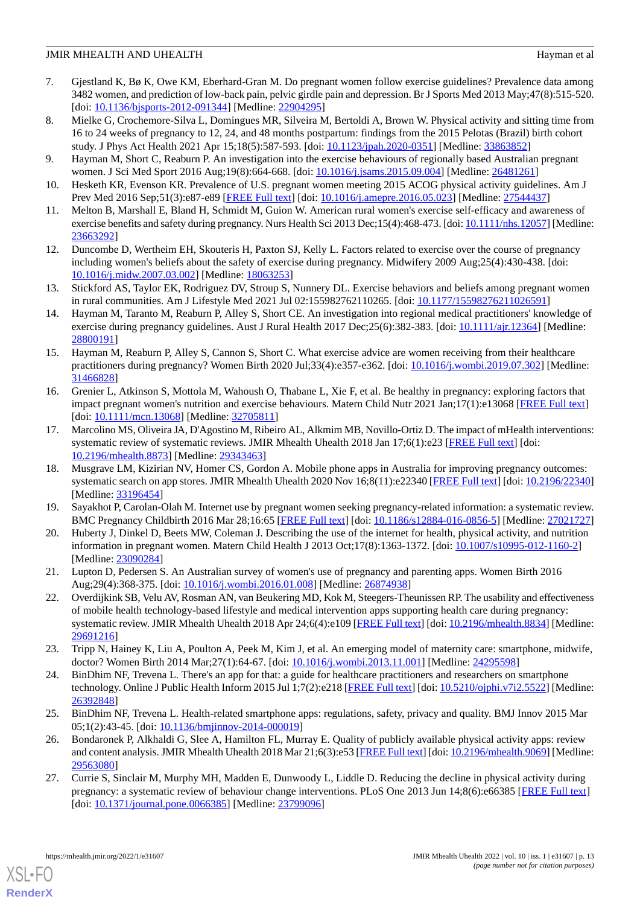- <span id="page-12-0"></span>7. Gjestland K, Bø K, Owe KM, Eberhard-Gran M. Do pregnant women follow exercise guidelines? Prevalence data among 3482 women, and prediction of low-back pain, pelvic girdle pain and depression. Br J Sports Med 2013 May;47(8):515-520. [doi: [10.1136/bjsports-2012-091344\]](http://dx.doi.org/10.1136/bjsports-2012-091344) [Medline: [22904295](http://www.ncbi.nlm.nih.gov/entrez/query.fcgi?cmd=Retrieve&db=PubMed&list_uids=22904295&dopt=Abstract)]
- 8. Mielke G, Crochemore-Silva L, Domingues MR, Silveira M, Bertoldi A, Brown W. Physical activity and sitting time from 16 to 24 weeks of pregnancy to 12, 24, and 48 months postpartum: findings from the 2015 Pelotas (Brazil) birth cohort study. J Phys Act Health 2021 Apr 15;18(5):587-593. [doi: [10.1123/jpah.2020-0351\]](http://dx.doi.org/10.1123/jpah.2020-0351) [Medline: [33863852](http://www.ncbi.nlm.nih.gov/entrez/query.fcgi?cmd=Retrieve&db=PubMed&list_uids=33863852&dopt=Abstract)]
- <span id="page-12-1"></span>9. Hayman M, Short C, Reaburn P. An investigation into the exercise behaviours of regionally based Australian pregnant women. J Sci Med Sport 2016 Aug;19(8):664-668. [doi: [10.1016/j.jsams.2015.09.004](http://dx.doi.org/10.1016/j.jsams.2015.09.004)] [Medline: [26481261\]](http://www.ncbi.nlm.nih.gov/entrez/query.fcgi?cmd=Retrieve&db=PubMed&list_uids=26481261&dopt=Abstract)
- <span id="page-12-2"></span>10. Hesketh KR, Evenson KR. Prevalence of U.S. pregnant women meeting 2015 ACOG physical activity guidelines. Am J Prev Med 2016 Sep;51(3):e87-e89 [[FREE Full text](https://linkinghub.elsevier.com/retrieve/pii/S0749-3797(16)30204-5)] [doi: [10.1016/j.amepre.2016.05.023\]](http://dx.doi.org/10.1016/j.amepre.2016.05.023) [Medline: [27544437\]](http://www.ncbi.nlm.nih.gov/entrez/query.fcgi?cmd=Retrieve&db=PubMed&list_uids=27544437&dopt=Abstract)
- 11. Melton B, Marshall E, Bland H, Schmidt M, Guion W. American rural women's exercise self-efficacy and awareness of exercise benefits and safety during pregnancy. Nurs Health Sci 2013 Dec;15(4):468-473. [doi: [10.1111/nhs.12057\]](http://dx.doi.org/10.1111/nhs.12057) [Medline: [23663292](http://www.ncbi.nlm.nih.gov/entrez/query.fcgi?cmd=Retrieve&db=PubMed&list_uids=23663292&dopt=Abstract)]
- <span id="page-12-3"></span>12. Duncombe D, Wertheim EH, Skouteris H, Paxton SJ, Kelly L. Factors related to exercise over the course of pregnancy including women's beliefs about the safety of exercise during pregnancy. Midwifery 2009 Aug;25(4):430-438. [doi: [10.1016/j.midw.2007.03.002\]](http://dx.doi.org/10.1016/j.midw.2007.03.002) [Medline: [18063253\]](http://www.ncbi.nlm.nih.gov/entrez/query.fcgi?cmd=Retrieve&db=PubMed&list_uids=18063253&dopt=Abstract)
- <span id="page-12-4"></span>13. Stickford AS, Taylor EK, Rodriguez DV, Stroup S, Nunnery DL. Exercise behaviors and beliefs among pregnant women in rural communities. Am J Lifestyle Med 2021 Jul 02:155982762110265. [doi: [10.1177/15598276211026591\]](http://dx.doi.org/10.1177/15598276211026591)
- 14. Hayman M, Taranto M, Reaburn P, Alley S, Short CE. An investigation into regional medical practitioners' knowledge of exercise during pregnancy guidelines. Aust J Rural Health 2017 Dec; 25(6): 382-383. [doi: [10.1111/ajr.12364](http://dx.doi.org/10.1111/ajr.12364)] [Medline: [28800191](http://www.ncbi.nlm.nih.gov/entrez/query.fcgi?cmd=Retrieve&db=PubMed&list_uids=28800191&dopt=Abstract)]
- <span id="page-12-5"></span>15. Hayman M, Reaburn P, Alley S, Cannon S, Short C. What exercise advice are women receiving from their healthcare practitioners during pregnancy? Women Birth 2020 Jul;33(4):e357-e362. [doi: [10.1016/j.wombi.2019.07.302](http://dx.doi.org/10.1016/j.wombi.2019.07.302)] [Medline: [31466828](http://www.ncbi.nlm.nih.gov/entrez/query.fcgi?cmd=Retrieve&db=PubMed&list_uids=31466828&dopt=Abstract)]
- <span id="page-12-6"></span>16. Grenier L, Atkinson S, Mottola M, Wahoush O, Thabane L, Xie F, et al. Be healthy in pregnancy: exploring factors that impact pregnant women's nutrition and exercise behaviours. Matern Child Nutr 2021 Jan;17(1):e13068 [[FREE Full text](http://europepmc.org/abstract/MED/32705811)] [doi: [10.1111/mcn.13068\]](http://dx.doi.org/10.1111/mcn.13068) [Medline: [32705811\]](http://www.ncbi.nlm.nih.gov/entrez/query.fcgi?cmd=Retrieve&db=PubMed&list_uids=32705811&dopt=Abstract)
- <span id="page-12-9"></span>17. Marcolino MS, Oliveira JA, D'Agostino M, Ribeiro AL, Alkmim MB, Novillo-Ortiz D. The impact of mHealth interventions: systematic review of systematic reviews. JMIR Mhealth Uhealth 2018 Jan 17;6(1):e23 [[FREE Full text](https://mhealth.jmir.org/2018/1/e23/)] [doi: [10.2196/mhealth.8873](http://dx.doi.org/10.2196/mhealth.8873)] [Medline: [29343463](http://www.ncbi.nlm.nih.gov/entrez/query.fcgi?cmd=Retrieve&db=PubMed&list_uids=29343463&dopt=Abstract)]
- <span id="page-12-8"></span><span id="page-12-7"></span>18. Musgrave LM, Kizirian NV, Homer CS, Gordon A. Mobile phone apps in Australia for improving pregnancy outcomes: systematic search on app stores. JMIR Mhealth Uhealth 2020 Nov 16;8(11):e22340 [[FREE Full text\]](https://mhealth.jmir.org/2020/11/e22340/) [doi: [10.2196/22340](http://dx.doi.org/10.2196/22340)] [Medline: [33196454](http://www.ncbi.nlm.nih.gov/entrez/query.fcgi?cmd=Retrieve&db=PubMed&list_uids=33196454&dopt=Abstract)]
- <span id="page-12-10"></span>19. Sayakhot P, Carolan-Olah M. Internet use by pregnant women seeking pregnancy-related information: a systematic review. BMC Pregnancy Childbirth 2016 Mar 28;16:65 [\[FREE Full text](https://bmcpregnancychildbirth.biomedcentral.com/articles/10.1186/s12884-016-0856-5)] [doi: [10.1186/s12884-016-0856-5](http://dx.doi.org/10.1186/s12884-016-0856-5)] [Medline: [27021727](http://www.ncbi.nlm.nih.gov/entrez/query.fcgi?cmd=Retrieve&db=PubMed&list_uids=27021727&dopt=Abstract)]
- <span id="page-12-11"></span>20. Huberty J, Dinkel D, Beets MW, Coleman J. Describing the use of the internet for health, physical activity, and nutrition information in pregnant women. Matern Child Health J 2013 Oct;17(8):1363-1372. [doi: [10.1007/s10995-012-1160-2\]](http://dx.doi.org/10.1007/s10995-012-1160-2) [Medline: [23090284](http://www.ncbi.nlm.nih.gov/entrez/query.fcgi?cmd=Retrieve&db=PubMed&list_uids=23090284&dopt=Abstract)]
- 21. Lupton D, Pedersen S. An Australian survey of women's use of pregnancy and parenting apps. Women Birth 2016 Aug;29(4):368-375. [doi: [10.1016/j.wombi.2016.01.008](http://dx.doi.org/10.1016/j.wombi.2016.01.008)] [Medline: [26874938](http://www.ncbi.nlm.nih.gov/entrez/query.fcgi?cmd=Retrieve&db=PubMed&list_uids=26874938&dopt=Abstract)]
- <span id="page-12-13"></span><span id="page-12-12"></span>22. Overdijkink SB, Velu AV, Rosman AN, van Beukering MD, Kok M, Steegers-Theunissen RP. The usability and effectiveness of mobile health technology-based lifestyle and medical intervention apps supporting health care during pregnancy: systematic review. JMIR Mhealth Uhealth 2018 Apr 24;6(4):e109 [\[FREE Full text\]](https://mhealth.jmir.org/2018/4/e109/) [doi: [10.2196/mhealth.8834\]](http://dx.doi.org/10.2196/mhealth.8834) [Medline: [29691216](http://www.ncbi.nlm.nih.gov/entrez/query.fcgi?cmd=Retrieve&db=PubMed&list_uids=29691216&dopt=Abstract)]
- <span id="page-12-14"></span>23. Tripp N, Hainey K, Liu A, Poulton A, Peek M, Kim J, et al. An emerging model of maternity care: smartphone, midwife, doctor? Women Birth 2014 Mar;27(1):64-67. [doi: [10.1016/j.wombi.2013.11.001](http://dx.doi.org/10.1016/j.wombi.2013.11.001)] [Medline: [24295598](http://www.ncbi.nlm.nih.gov/entrez/query.fcgi?cmd=Retrieve&db=PubMed&list_uids=24295598&dopt=Abstract)]
- <span id="page-12-15"></span>24. BinDhim NF, Trevena L. There's an app for that: a guide for healthcare practitioners and researchers on smartphone technology. Online J Public Health Inform 2015 Jul 1;7(2):e218 [[FREE Full text](http://europepmc.org/abstract/MED/26392848)] [doi: [10.5210/ojphi.v7i2.5522\]](http://dx.doi.org/10.5210/ojphi.v7i2.5522) [Medline: [26392848](http://www.ncbi.nlm.nih.gov/entrez/query.fcgi?cmd=Retrieve&db=PubMed&list_uids=26392848&dopt=Abstract)]
- <span id="page-12-16"></span>25. BinDhim NF, Trevena L. Health-related smartphone apps: regulations, safety, privacy and quality. BMJ Innov 2015 Mar 05;1(2):43-45. [doi: [10.1136/bmjinnov-2014-000019\]](http://dx.doi.org/10.1136/bmjinnov-2014-000019)
- 26. Bondaronek P, Alkhaldi G, Slee A, Hamilton FL, Murray E. Quality of publicly available physical activity apps: review and content analysis. JMIR Mhealth Uhealth 2018 Mar 21;6(3):e53 [[FREE Full text](https://mhealth.jmir.org/2018/3/e53/)] [doi: [10.2196/mhealth.9069](http://dx.doi.org/10.2196/mhealth.9069)] [Medline: [29563080](http://www.ncbi.nlm.nih.gov/entrez/query.fcgi?cmd=Retrieve&db=PubMed&list_uids=29563080&dopt=Abstract)]
- 27. Currie S, Sinclair M, Murphy MH, Madden E, Dunwoody L, Liddle D. Reducing the decline in physical activity during pregnancy: a systematic review of behaviour change interventions. PLoS One 2013 Jun 14;8(6):e66385 [\[FREE Full text\]](https://dx.plos.org/10.1371/journal.pone.0066385) [doi: [10.1371/journal.pone.0066385\]](http://dx.doi.org/10.1371/journal.pone.0066385) [Medline: [23799096\]](http://www.ncbi.nlm.nih.gov/entrez/query.fcgi?cmd=Retrieve&db=PubMed&list_uids=23799096&dopt=Abstract)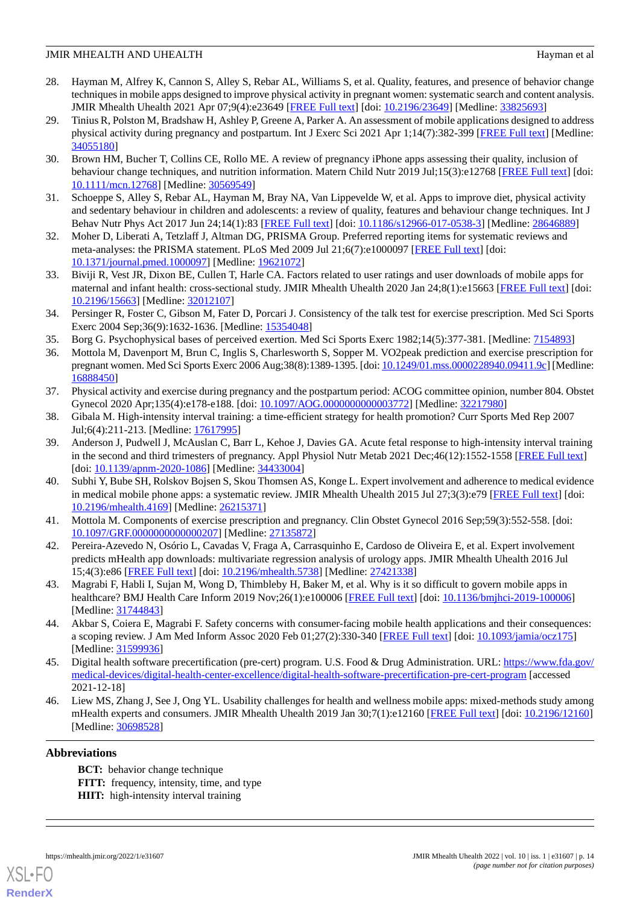- <span id="page-13-0"></span>28. Hayman M, Alfrey K, Cannon S, Alley S, Rebar AL, Williams S, et al. Quality, features, and presence of behavior change techniques in mobile apps designed to improve physical activity in pregnant women: systematic search and content analysis. JMIR Mhealth Uhealth 2021 Apr 07;9(4):e23649 [[FREE Full text](https://mhealth.jmir.org/2021/4/e23649/)] [doi: [10.2196/23649\]](http://dx.doi.org/10.2196/23649) [Medline: [33825693\]](http://www.ncbi.nlm.nih.gov/entrez/query.fcgi?cmd=Retrieve&db=PubMed&list_uids=33825693&dopt=Abstract)
- <span id="page-13-1"></span>29. Tinius R, Polston M, Bradshaw H, Ashley P, Greene A, Parker A. An assessment of mobile applications designed to address physical activity during pregnancy and postpartum. Int J Exerc Sci 2021 Apr 1;14(7):382-399 [[FREE Full text](http://europepmc.org/abstract/MED/34055180)] [Medline: [34055180](http://www.ncbi.nlm.nih.gov/entrez/query.fcgi?cmd=Retrieve&db=PubMed&list_uids=34055180&dopt=Abstract)]
- <span id="page-13-2"></span>30. Brown HM, Bucher T, Collins CE, Rollo ME. A review of pregnancy iPhone apps assessing their quality, inclusion of behaviour change techniques, and nutrition information. Matern Child Nutr 2019 Jul;15(3):e12768 [\[FREE Full text\]](http://europepmc.org/abstract/MED/30569549) [doi: [10.1111/mcn.12768](http://dx.doi.org/10.1111/mcn.12768)] [Medline: [30569549](http://www.ncbi.nlm.nih.gov/entrez/query.fcgi?cmd=Retrieve&db=PubMed&list_uids=30569549&dopt=Abstract)]
- <span id="page-13-4"></span><span id="page-13-3"></span>31. Schoeppe S, Alley S, Rebar AL, Hayman M, Bray NA, Van Lippevelde W, et al. Apps to improve diet, physical activity and sedentary behaviour in children and adolescents: a review of quality, features and behaviour change techniques. Int J Behav Nutr Phys Act 2017 Jun 24;14(1):83 [[FREE Full text](https://ijbnpa.biomedcentral.com/articles/10.1186/s12966-017-0538-3)] [doi: [10.1186/s12966-017-0538-3\]](http://dx.doi.org/10.1186/s12966-017-0538-3) [Medline: [28646889\]](http://www.ncbi.nlm.nih.gov/entrez/query.fcgi?cmd=Retrieve&db=PubMed&list_uids=28646889&dopt=Abstract)
- <span id="page-13-5"></span>32. Moher D, Liberati A, Tetzlaff J, Altman DG, PRISMA Group. Preferred reporting items for systematic reviews and meta-analyses: the PRISMA statement. PLoS Med 2009 Jul 21;6(7):e1000097 [[FREE Full text](https://dx.plos.org/10.1371/journal.pmed.1000097)] [doi: [10.1371/journal.pmed.1000097](http://dx.doi.org/10.1371/journal.pmed.1000097)] [Medline: [19621072](http://www.ncbi.nlm.nih.gov/entrez/query.fcgi?cmd=Retrieve&db=PubMed&list_uids=19621072&dopt=Abstract)]
- <span id="page-13-6"></span>33. Biviji R, Vest JR, Dixon BE, Cullen T, Harle CA. Factors related to user ratings and user downloads of mobile apps for maternal and infant health: cross-sectional study. JMIR Mhealth Uhealth 2020 Jan 24;8(1):e15663 [\[FREE Full text\]](https://mhealth.jmir.org/2020/1/e15663/) [doi: [10.2196/15663\]](http://dx.doi.org/10.2196/15663) [Medline: [32012107\]](http://www.ncbi.nlm.nih.gov/entrez/query.fcgi?cmd=Retrieve&db=PubMed&list_uids=32012107&dopt=Abstract)
- <span id="page-13-8"></span><span id="page-13-7"></span>34. Persinger R, Foster C, Gibson M, Fater D, Porcari J. Consistency of the talk test for exercise prescription. Med Sci Sports Exerc 2004 Sep;36(9):1632-1636. [Medline: [15354048](http://www.ncbi.nlm.nih.gov/entrez/query.fcgi?cmd=Retrieve&db=PubMed&list_uids=15354048&dopt=Abstract)]
- 35. Borg G. Psychophysical bases of perceived exertion. Med Sci Sports Exerc 1982;14(5):377-381. [Medline: [7154893\]](http://www.ncbi.nlm.nih.gov/entrez/query.fcgi?cmd=Retrieve&db=PubMed&list_uids=7154893&dopt=Abstract)
- <span id="page-13-9"></span>36. Mottola M, Davenport M, Brun C, Inglis S, Charlesworth S, Sopper M. VO2peak prediction and exercise prescription for pregnant women. Med Sci Sports Exerc 2006 Aug;38(8):1389-1395. [doi: [10.1249/01.mss.0000228940.09411.9c\]](http://dx.doi.org/10.1249/01.mss.0000228940.09411.9c) [Medline: [16888450](http://www.ncbi.nlm.nih.gov/entrez/query.fcgi?cmd=Retrieve&db=PubMed&list_uids=16888450&dopt=Abstract)]
- <span id="page-13-11"></span><span id="page-13-10"></span>37. Physical activity and exercise during pregnancy and the postpartum period: ACOG committee opinion, number 804. Obstet Gynecol 2020 Apr;135(4):e178-e188. [doi: [10.1097/AOG.0000000000003772\]](http://dx.doi.org/10.1097/AOG.0000000000003772) [Medline: [32217980](http://www.ncbi.nlm.nih.gov/entrez/query.fcgi?cmd=Retrieve&db=PubMed&list_uids=32217980&dopt=Abstract)]
- 38. Gibala M. High-intensity interval training: a time-efficient strategy for health promotion? Curr Sports Med Rep 2007 Jul;6(4):211-213. [Medline: [17617995\]](http://www.ncbi.nlm.nih.gov/entrez/query.fcgi?cmd=Retrieve&db=PubMed&list_uids=17617995&dopt=Abstract)
- <span id="page-13-12"></span>39. Anderson J, Pudwell J, McAuslan C, Barr L, Kehoe J, Davies GA. Acute fetal response to high-intensity interval training in the second and third trimesters of pregnancy. Appl Physiol Nutr Metab 2021 Dec;46(12):1552-1558 [\[FREE Full text\]](https://cdnsciencepub.com/doi/abs/10.1139/apnm-2020-1086?url_ver=Z39.88-2003&rfr_id=ori:rid:crossref.org&rfr_dat=cr_pub%3dpubmed) [doi: [10.1139/apnm-2020-1086](http://dx.doi.org/10.1139/apnm-2020-1086)] [Medline: [34433004\]](http://www.ncbi.nlm.nih.gov/entrez/query.fcgi?cmd=Retrieve&db=PubMed&list_uids=34433004&dopt=Abstract)
- <span id="page-13-14"></span><span id="page-13-13"></span>40. Subhi Y, Bube SH, Rolskov Bojsen S, Skou Thomsen AS, Konge L. Expert involvement and adherence to medical evidence in medical mobile phone apps: a systematic review. JMIR Mhealth Uhealth 2015 Jul 27;3(3):e79 [[FREE Full text](https://mhealth.jmir.org/2015/3/e79/)] [doi: [10.2196/mhealth.4169](http://dx.doi.org/10.2196/mhealth.4169)] [Medline: [26215371](http://www.ncbi.nlm.nih.gov/entrez/query.fcgi?cmd=Retrieve&db=PubMed&list_uids=26215371&dopt=Abstract)]
- <span id="page-13-15"></span>41. Mottola M. Components of exercise prescription and pregnancy. Clin Obstet Gynecol 2016 Sep;59(3):552-558. [doi: [10.1097/GRF.0000000000000207\]](http://dx.doi.org/10.1097/GRF.0000000000000207) [Medline: [27135872\]](http://www.ncbi.nlm.nih.gov/entrez/query.fcgi?cmd=Retrieve&db=PubMed&list_uids=27135872&dopt=Abstract)
- <span id="page-13-16"></span>42. Pereira-Azevedo N, Osório L, Cavadas V, Fraga A, Carrasquinho E, Cardoso de Oliveira E, et al. Expert involvement predicts mHealth app downloads: multivariate regression analysis of urology apps. JMIR Mhealth Uhealth 2016 Jul 15;4(3):e86 [\[FREE Full text](https://mhealth.jmir.org/2016/3/e86/)] [doi: [10.2196/mhealth.5738\]](http://dx.doi.org/10.2196/mhealth.5738) [Medline: [27421338](http://www.ncbi.nlm.nih.gov/entrez/query.fcgi?cmd=Retrieve&db=PubMed&list_uids=27421338&dopt=Abstract)]
- <span id="page-13-17"></span>43. Magrabi F, Habli I, Sujan M, Wong D, Thimbleby H, Baker M, et al. Why is it so difficult to govern mobile apps in healthcare? BMJ Health Care Inform 2019 Nov;26(1):e100006 [\[FREE Full text\]](https://informatics.bmj.com/lookup/pmidlookup?view=long&pmid=31744843) [doi: [10.1136/bmjhci-2019-100006\]](http://dx.doi.org/10.1136/bmjhci-2019-100006) [Medline: [31744843](http://www.ncbi.nlm.nih.gov/entrez/query.fcgi?cmd=Retrieve&db=PubMed&list_uids=31744843&dopt=Abstract)]
- <span id="page-13-18"></span>44. Akbar S, Coiera E, Magrabi F. Safety concerns with consumer-facing mobile health applications and their consequences: a scoping review. J Am Med Inform Assoc 2020 Feb 01;27(2):330-340 [\[FREE Full text\]](http://europepmc.org/abstract/MED/31599936) [doi: [10.1093/jamia/ocz175](http://dx.doi.org/10.1093/jamia/ocz175)] [Medline: [31599936](http://www.ncbi.nlm.nih.gov/entrez/query.fcgi?cmd=Retrieve&db=PubMed&list_uids=31599936&dopt=Abstract)]
- 45. Digital health software precertification (pre-cert) program. U.S. Food & Drug Administration. URL: [https://www.fda.gov/](https://www.fda.gov/medical-devices/digital-health-center-excellence/digital-health-software-precertification-pre-cert-program) [medical-devices/digital-health-center-excellence/digital-health-software-precertification-pre-cert-program](https://www.fda.gov/medical-devices/digital-health-center-excellence/digital-health-software-precertification-pre-cert-program) [accessed 2021-12-18]
- 46. Liew MS, Zhang J, See J, Ong YL. Usability challenges for health and wellness mobile apps: mixed-methods study among mHealth experts and consumers. JMIR Mhealth Uhealth 2019 Jan 30;7(1):e12160 [\[FREE Full text\]](https://mhealth.jmir.org/2019/1/e12160/) [doi: [10.2196/12160](http://dx.doi.org/10.2196/12160)] [Medline: [30698528](http://www.ncbi.nlm.nih.gov/entrez/query.fcgi?cmd=Retrieve&db=PubMed&list_uids=30698528&dopt=Abstract)]

#### **Abbreviations**

**BCT:** behavior change technique **FITT:** frequency, intensity, time, and type **HIIT:** high-intensity interval training